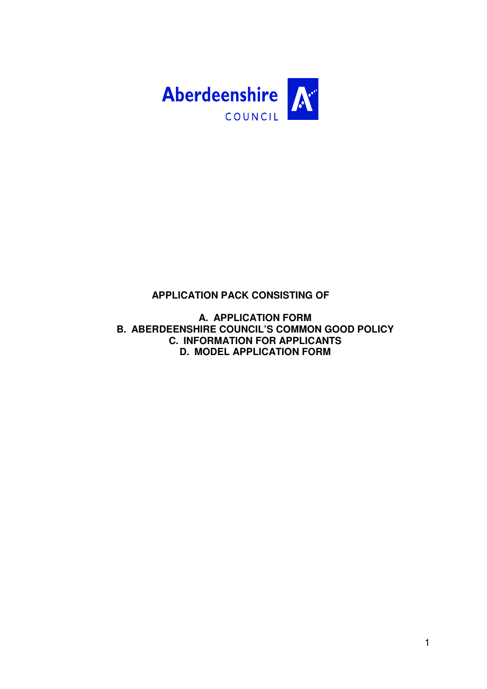

### **APPLICATION PACK CONSISTING OF**

**A. APPLICATION FORM B. ABERDEENSHIRE COUNCIL'S COMMON GOOD POLICY C. INFORMATION FOR APPLICANTS D. MODEL APPLICATION FORM**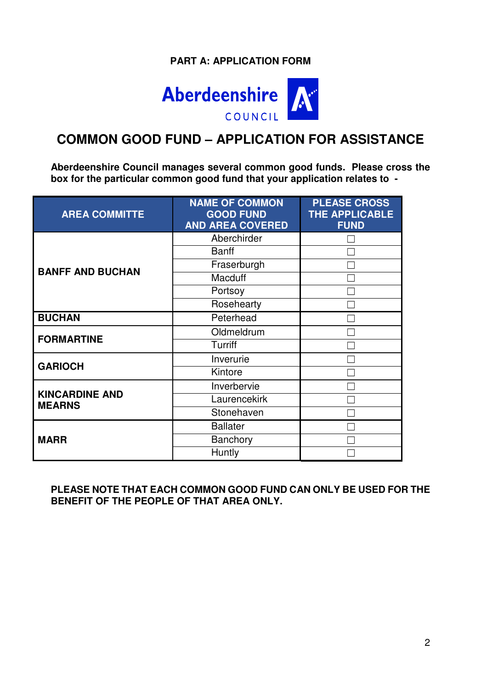# **PART A: APPLICATION FORM**



# **COMMON GOOD FUND – APPLICATION FOR ASSISTANCE**

**Aberdeenshire Council manages several common good funds. Please cross the box for the particular common good fund that your application relates to -** 

| <b>AREA COMMITTE</b>                   | <b>NAME OF COMMON</b><br><b>GOOD FUND</b><br><b>AND AREA COVERED</b> | <b>PLEASE CROSS</b><br><b>THE APPLICABLE</b><br><b>FUND</b> |
|----------------------------------------|----------------------------------------------------------------------|-------------------------------------------------------------|
|                                        | Aberchirder                                                          |                                                             |
|                                        | <b>Banff</b>                                                         |                                                             |
| <b>BANFF AND BUCHAN</b>                | Fraserburgh                                                          |                                                             |
|                                        | <b>Macduff</b>                                                       |                                                             |
|                                        | Portsoy                                                              |                                                             |
|                                        | Rosehearty                                                           |                                                             |
| <b>BUCHAN</b>                          | Peterhead                                                            |                                                             |
| <b>FORMARTINE</b>                      | Oldmeldrum                                                           |                                                             |
|                                        | Turriff                                                              |                                                             |
| <b>GARIOCH</b>                         | Inverurie                                                            |                                                             |
|                                        | Kintore                                                              |                                                             |
|                                        | Inverbervie                                                          |                                                             |
| <b>KINCARDINE AND</b><br><b>MEARNS</b> | Laurencekirk                                                         |                                                             |
|                                        | Stonehaven                                                           |                                                             |
|                                        | <b>Ballater</b>                                                      |                                                             |
| <b>MARR</b>                            | <b>Banchory</b>                                                      |                                                             |
|                                        | Huntly                                                               |                                                             |

**PLEASE NOTE THAT EACH COMMON GOOD FUND CAN ONLY BE USED FOR THE BENEFIT OF THE PEOPLE OF THAT AREA ONLY.**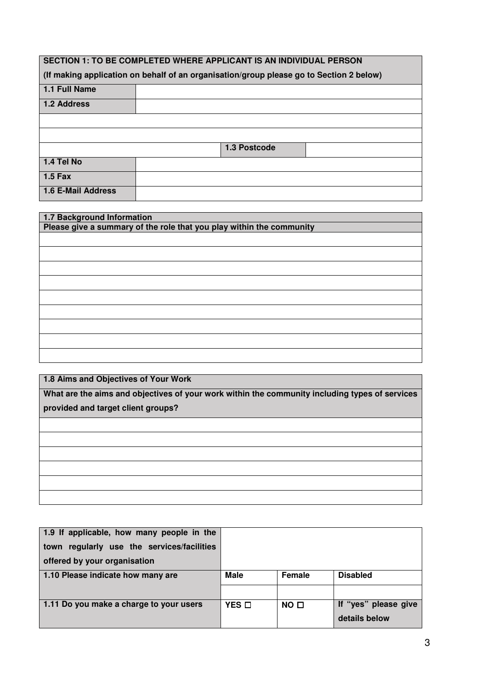| SECTION 1: TO BE COMPLETED WHERE APPLICANT IS AN INDIVIDUAL PERSON |                                                                                         |  |  |  |  |
|--------------------------------------------------------------------|-----------------------------------------------------------------------------------------|--|--|--|--|
|                                                                    | (If making application on behalf of an organisation/group please go to Section 2 below) |  |  |  |  |
| 1.1 Full Name                                                      |                                                                                         |  |  |  |  |
| 1.2 Address                                                        |                                                                                         |  |  |  |  |
|                                                                    |                                                                                         |  |  |  |  |
|                                                                    |                                                                                         |  |  |  |  |
|                                                                    | 1.3 Postcode                                                                            |  |  |  |  |
| 1.4 Tel No                                                         |                                                                                         |  |  |  |  |
| $1.5$ Fax                                                          |                                                                                         |  |  |  |  |
| 1.6 E-Mail Address                                                 |                                                                                         |  |  |  |  |

| 1.7 Background Information                                           |
|----------------------------------------------------------------------|
| Please give a summary of the role that you play within the community |
|                                                                      |
|                                                                      |
|                                                                      |
|                                                                      |
|                                                                      |
|                                                                      |
|                                                                      |
|                                                                      |
|                                                                      |
|                                                                      |
|                                                                      |
|                                                                      |
|                                                                      |
|                                                                      |
|                                                                      |
|                                                                      |
|                                                                      |

**1.8 Aims and Objectives of Your Work**

**What are the aims and objectives of your work within the community including types of services provided and target client groups?** 

| 1.9 If applicable, how many people in the     |                 |                 |                      |
|-----------------------------------------------|-----------------|-----------------|----------------------|
| regularly use the services/facilities<br>town |                 |                 |                      |
| offered by your organisation                  |                 |                 |                      |
| 1.10 Please indicate how many are             | <b>Male</b>     | Female          | <b>Disabled</b>      |
|                                               |                 |                 |                      |
| 1.11 Do you make a charge to your users       | $YES$ $\square$ | NO <sub>1</sub> | If "yes" please give |
|                                               |                 |                 | details below        |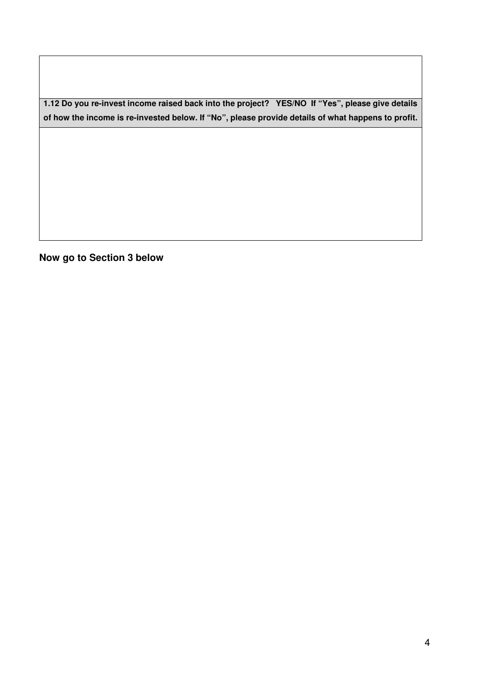**1.12 Do you re-invest income raised back into the project? YES/NO If "Yes", please give details of how the income is re-invested below. If "No", please provide details of what happens to profit.** 

**Now go to Section 3 below**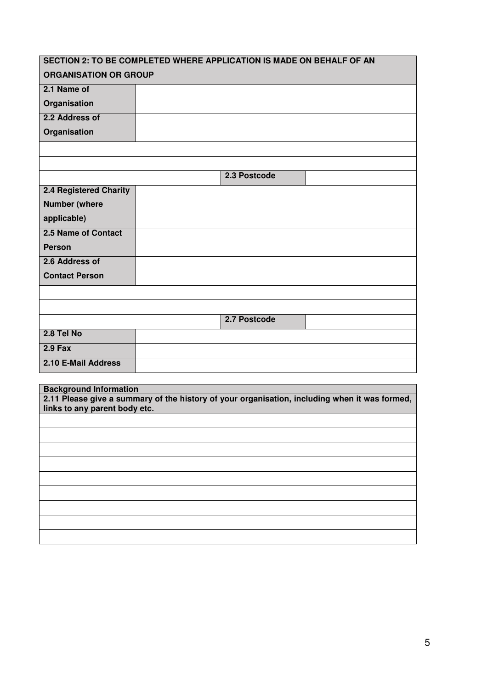| SECTION 2: TO BE COMPLETED WHERE APPLICATION IS MADE ON BEHALF OF AN |              |  |
|----------------------------------------------------------------------|--------------|--|
| <b>ORGANISATION OR GROUP</b>                                         |              |  |
| 2.1 Name of                                                          |              |  |
| Organisation                                                         |              |  |
| 2.2 Address of                                                       |              |  |
| Organisation                                                         |              |  |
|                                                                      |              |  |
|                                                                      |              |  |
|                                                                      | 2.3 Postcode |  |
| <b>2.4 Registered Charity</b>                                        |              |  |
| <b>Number (where</b>                                                 |              |  |
| applicable)                                                          |              |  |
| 2.5 Name of Contact                                                  |              |  |
| <b>Person</b>                                                        |              |  |
| 2.6 Address of                                                       |              |  |
| <b>Contact Person</b>                                                |              |  |
|                                                                      |              |  |
|                                                                      |              |  |
|                                                                      | 2.7 Postcode |  |
| 2.8 Tel No                                                           |              |  |
| $2.9$ Fax                                                            |              |  |
| 2.10 E-Mail Address                                                  |              |  |
|                                                                      |              |  |
| <b>Background Information</b>                                        |              |  |

**2.11 Please give a summary of the history of your organisation, including when it was formed, links to any parent body etc.**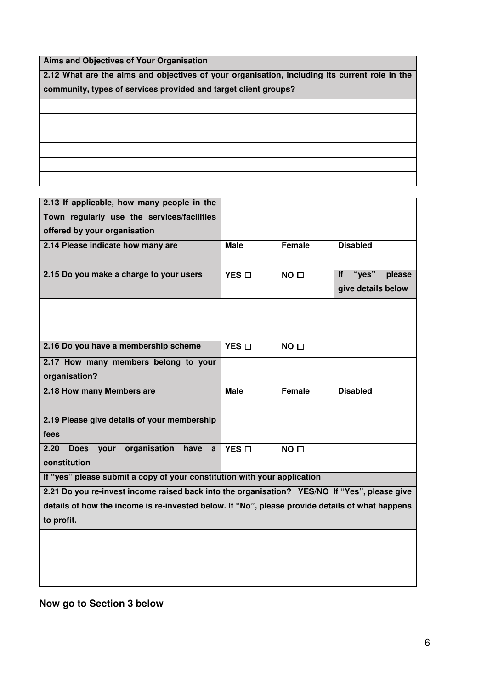**Aims and Objectives of Your Organisation**

**2.12 What are the aims and objectives of your organisation, including its current role in the community, types of services provided and target client groups?** 

| 2.13 If applicable, how many people in the                                                      |                 |                 |                              |
|-------------------------------------------------------------------------------------------------|-----------------|-----------------|------------------------------|
| Town regularly use the services/facilities                                                      |                 |                 |                              |
| offered by your organisation                                                                    |                 |                 |                              |
| 2.14 Please indicate how many are                                                               | <b>Male</b>     | <b>Female</b>   | <b>Disabled</b>              |
|                                                                                                 |                 |                 |                              |
| 2.15 Do you make a charge to your users                                                         | YES O           | NO <sub>D</sub> | "ves"<br><b>If</b><br>please |
|                                                                                                 |                 |                 | give details below           |
|                                                                                                 |                 |                 |                              |
|                                                                                                 |                 |                 |                              |
|                                                                                                 |                 |                 |                              |
|                                                                                                 |                 |                 |                              |
| 2.16 Do you have a membership scheme                                                            | $YES$ $\square$ | NO <sub>0</sub> |                              |
| 2.17 How many members belong to your                                                            |                 |                 |                              |
| organisation?                                                                                   |                 |                 |                              |
| 2.18 How many Members are                                                                       | <b>Male</b>     | Female          | <b>Disabled</b>              |
|                                                                                                 |                 |                 |                              |
| 2.19 Please give details of your membership                                                     |                 |                 |                              |
| fees                                                                                            |                 |                 |                              |
| your organisation<br><b>Does</b><br>2.20<br>have<br>$\mathbf{a}$                                | YES D           | NO <sub>D</sub> |                              |
| constitution                                                                                    |                 |                 |                              |
| If "yes" please submit a copy of your constitution with your application                        |                 |                 |                              |
|                                                                                                 |                 |                 |                              |
| 2.21 Do you re-invest income raised back into the organisation? YES/NO If "Yes", please give    |                 |                 |                              |
| details of how the income is re-invested below. If "No", please provide details of what happens |                 |                 |                              |
| to profit.                                                                                      |                 |                 |                              |

### **Now go to Section 3 below**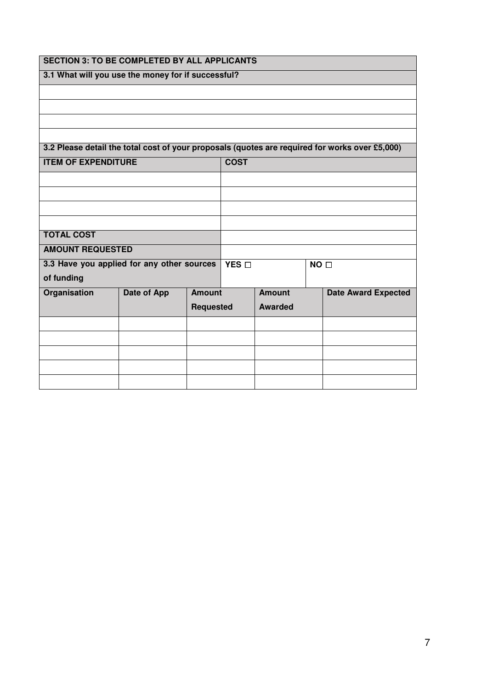| <b>SECTION 3: TO BE COMPLETED BY ALL APPLICANTS</b> |             |                       |  |                 |  |                                                                                                |
|-----------------------------------------------------|-------------|-----------------------|--|-----------------|--|------------------------------------------------------------------------------------------------|
| 3.1 What will you use the money for if successful?  |             |                       |  |                 |  |                                                                                                |
|                                                     |             |                       |  |                 |  |                                                                                                |
|                                                     |             |                       |  |                 |  |                                                                                                |
|                                                     |             |                       |  |                 |  |                                                                                                |
|                                                     |             |                       |  |                 |  |                                                                                                |
|                                                     |             |                       |  |                 |  | 3.2 Please detail the total cost of your proposals (quotes are required for works over £5,000) |
| <b>ITEM OF EXPENDITURE</b><br><b>COST</b>           |             |                       |  |                 |  |                                                                                                |
|                                                     |             |                       |  |                 |  |                                                                                                |
|                                                     |             |                       |  |                 |  |                                                                                                |
|                                                     |             |                       |  |                 |  |                                                                                                |
|                                                     |             |                       |  |                 |  |                                                                                                |
| <b>TOTAL COST</b>                                   |             |                       |  |                 |  |                                                                                                |
| <b>AMOUNT REQUESTED</b>                             |             |                       |  |                 |  |                                                                                                |
| 3.3 Have you applied for any other sources          |             | YES $\overline{\Box}$ |  | NO <sub>D</sub> |  |                                                                                                |
| of funding                                          |             |                       |  |                 |  |                                                                                                |
| Organisation                                        | Date of App | <b>Amount</b>         |  | <b>Amount</b>   |  | <b>Date Award Expected</b>                                                                     |
|                                                     |             | <b>Requested</b>      |  | <b>Awarded</b>  |  |                                                                                                |
|                                                     |             |                       |  |                 |  |                                                                                                |
|                                                     |             |                       |  |                 |  |                                                                                                |
|                                                     |             |                       |  |                 |  |                                                                                                |
|                                                     |             |                       |  |                 |  |                                                                                                |
|                                                     |             |                       |  |                 |  |                                                                                                |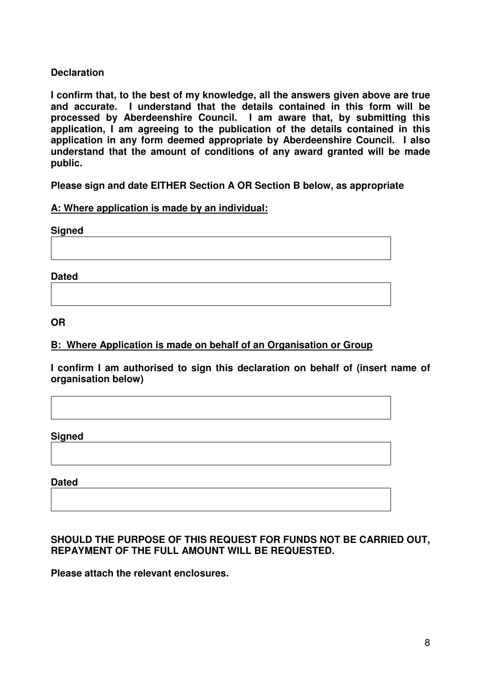### **Declaration**

**I confirm that, to the best of my knowledge, all the answers given above are true and accurate. I understand that the details contained in this form will be processed by Aberdeenshire Council. I am aware that, by submitting this application, I am agreeing to the publication of the details contained in this application in any form deemed appropriate by Aberdeenshire Council. I also understand that the amount of conditions of any award granted will be made public.** 

**Please sign and date EITHER Section A OR Section B below, as appropriate** 

#### **A: Where application is made by an individual:**

**Signed** 

**Dated** 

**OR** 

### **B: Where Application is made on behalf of an Organisation or Group**

**I confirm I am authorised to sign this declaration on behalf of (insert name of organisation below)** 

**Signed** 

**Dated** 

### **SHOULD THE PURPOSE OF THIS REQUEST FOR FUNDS NOT BE CARRIED OUT, REPAYMENT OF THE FULL AMOUNT WILL BE REQUESTED.**

**Please attach the relevant enclosures.**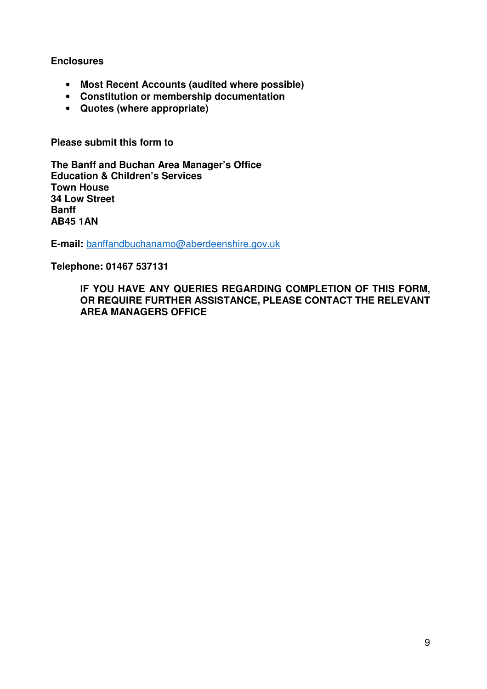#### **Enclosures**

- **Most Recent Accounts (audited where possible)**
- **Constitution or membership documentation**
- **Quotes (where appropriate)**

**Please submit this form to** 

**The Banff and Buchan Area Manager's Office Education & Children's Services Town House 34 Low Street Banff AB45 1AN** 

**E-mail:** banffandbuchanamo@aberdeenshire.gov.uk

**Telephone: 01467 537131** 

**IF YOU HAVE ANY QUERIES REGARDING COMPLETION OF THIS FORM, OR REQUIRE FURTHER ASSISTANCE, PLEASE CONTACT THE RELEVANT AREA MANAGERS OFFICE**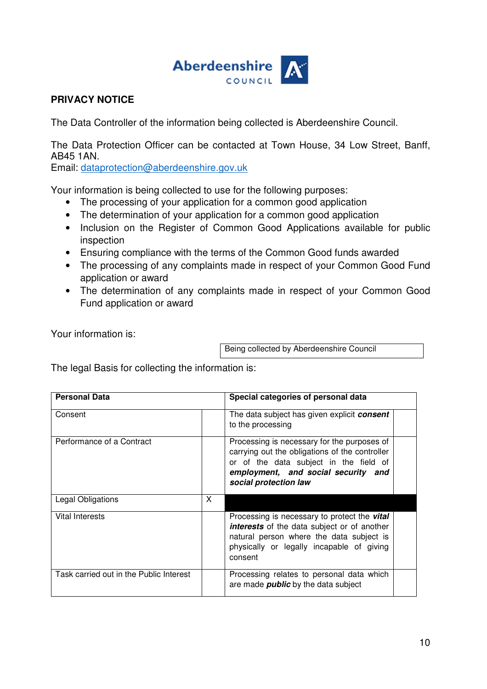

### **PRIVACY NOTICE**

The Data Controller of the information being collected is Aberdeenshire Council.

The Data Protection Officer can be contacted at Town House, 34 Low Street, Banff, AB45 1AN.

Email: dataprotection@aberdeenshire.gov.uk

Your information is being collected to use for the following purposes:

- The processing of your application for a common good application
- The determination of your application for a common good application
- Inclusion on the Register of Common Good Applications available for public inspection
- Ensuring compliance with the terms of the Common Good funds awarded
- The processing of any complaints made in respect of your Common Good Fund application or award
- The determination of any complaints made in respect of your Common Good Fund application or award

Your information is:

Being collected by Aberdeenshire Council

The legal Basis for collecting the information is:

| <b>Personal Data</b>                    |   | Special categories of personal data                                                                                                                                                                           |
|-----------------------------------------|---|---------------------------------------------------------------------------------------------------------------------------------------------------------------------------------------------------------------|
| Consent                                 |   | The data subject has given explicit <b>consent</b><br>to the processing                                                                                                                                       |
| Performance of a Contract               |   | Processing is necessary for the purposes of<br>carrying out the obligations of the controller<br>or of the data subject in the field of<br>employment, and social security and<br>social protection law       |
| Legal Obligations                       | X |                                                                                                                                                                                                               |
| Vital Interests                         |   | Processing is necessary to protect the <b>vital</b><br><b>interests</b> of the data subject or of another<br>natural person where the data subject is<br>physically or legally incapable of giving<br>consent |
| Task carried out in the Public Interest |   | Processing relates to personal data which<br>are made <i>public</i> by the data subject                                                                                                                       |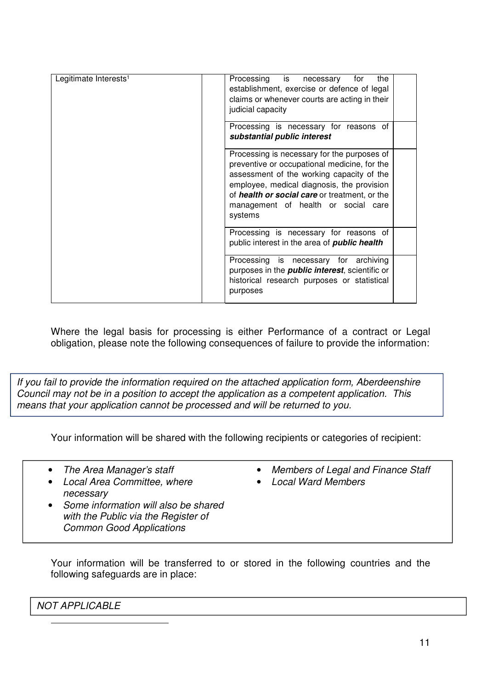| Legitimate Interests <sup>1</sup> | Processing is necessary<br>for<br>the<br>establishment, exercise or defence of legal<br>claims or whenever courts are acting in their<br>judicial capacity<br>Processing is necessary for reasons of                                                                                             |
|-----------------------------------|--------------------------------------------------------------------------------------------------------------------------------------------------------------------------------------------------------------------------------------------------------------------------------------------------|
|                                   | substantial public interest                                                                                                                                                                                                                                                                      |
|                                   | Processing is necessary for the purposes of<br>preventive or occupational medicine, for the<br>assessment of the working capacity of the<br>employee, medical diagnosis, the provision<br>of <i>health or social care</i> or treatment, or the<br>management of health or social care<br>systems |
|                                   | Processing is necessary for reasons of<br>public interest in the area of <b>public health</b>                                                                                                                                                                                                    |
|                                   | Processing is necessary for archiving<br>purposes in the <i>public interest</i> , scientific or<br>historical research purposes or statistical<br>purposes                                                                                                                                       |

Where the legal basis for processing is either Performance of a contract or Legal obligation, please note the following consequences of failure to provide the information:

If you fail to provide the information required on the attached application form, Aberdeenshire Council may not be in a position to accept the application as a competent application. This means that your application cannot be processed and will be returned to you.

Your information will be shared with the following recipients or categories of recipient:

• The Area Manager's staff

- Members of Legal and Finance Staff
- Local Ward Members
- Local Area Committee, where necessary
- Some information will also be shared with the Public via the Register of Common Good Applications

Your information will be transferred to or stored in the following countries and the following safeguards are in place:

NOT APPLICABLE

 $\overline{a}$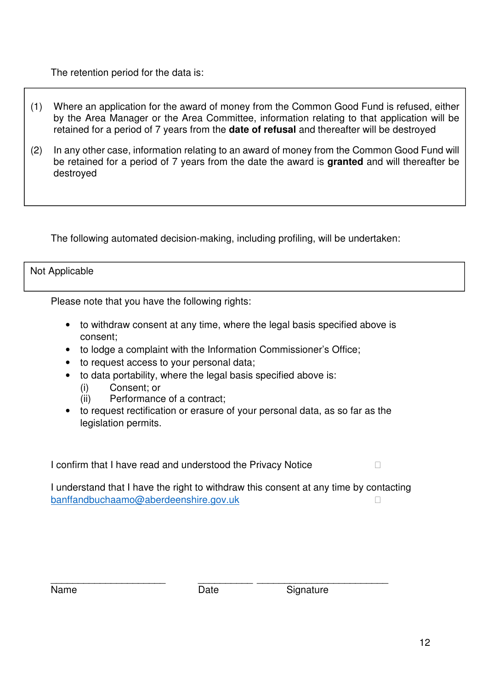### The retention period for the data is:

- (1) Where an application for the award of money from the Common Good Fund is refused, either by the Area Manager or the Area Committee, information relating to that application will be retained for a period of 7 years from the **date of refusal** and thereafter will be destroyed
- (2) In any other case, information relating to an award of money from the Common Good Fund will be retained for a period of 7 years from the date the award is **granted** and will thereafter be destroyed

The following automated decision-making, including profiling, will be undertaken:

#### Not Applicable

Please note that you have the following rights:

- to withdraw consent at any time, where the legal basis specified above is consent;
- to lodge a complaint with the Information Commissioner's Office;
- to request access to your personal data;
- to data portability, where the legal basis specified above is:
	- (i) Consent; or
	- (ii) Performance of a contract;
- to request rectification or erasure of your personal data, as so far as the legislation permits.

I confirm that I have read and understood the Privacy Notice

I understand that I have the right to withdraw this consent at any time by contacting banffandbuchaamo@aberdeenshire.gov.uk

| N<br>lame |
|-----------|
|-----------|

\_\_\_\_\_\_\_\_\_\_\_\_\_\_\_\_\_\_\_\_\_ \_\_\_\_\_\_\_\_\_\_ \_\_\_\_\_\_\_\_\_\_\_\_\_\_\_\_\_\_\_\_\_\_\_\_ Date Signature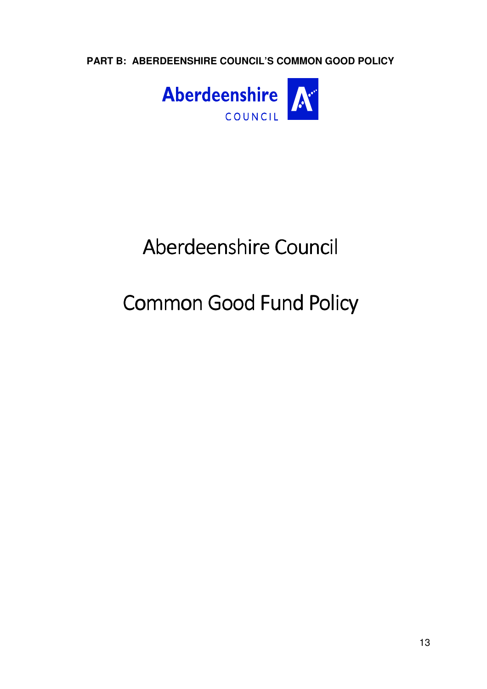**PART B: ABERDEENSHIRE COUNCIL'S COMMON GOOD POLICY**



# Aberdeenshire Council Aberdeenshire Council

# Common Good Fund Policy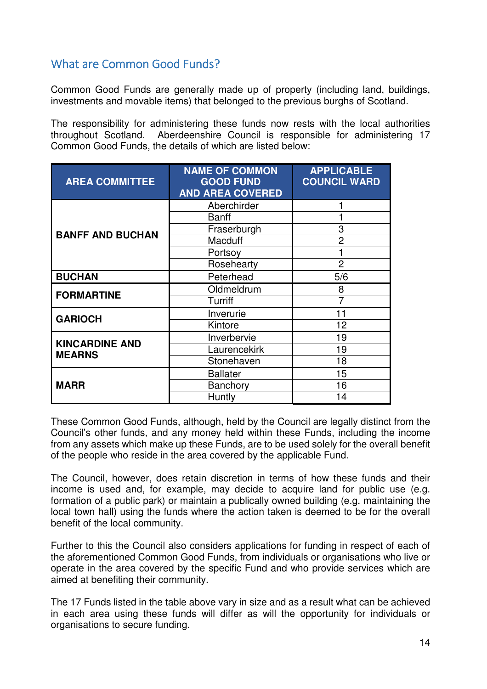# What are Common Good Funds?

Common Good Funds are generally made up of property (including land, buildings, investments and movable items) that belonged to the previous burghs of Scotland.

The responsibility for administering these funds now rests with the local authorities throughout Scotland. Aberdeenshire Council is responsible for administering 17 Common Good Funds, the details of which are listed below:

| <b>AREA COMMITTEE</b>   | <b>NAME OF COMMON</b><br><b>GOOD FUND</b><br><b>AND AREA COVERED</b> | <b>APPLICABLE</b><br><b>COUNCIL WARD</b> |
|-------------------------|----------------------------------------------------------------------|------------------------------------------|
|                         | Aberchirder                                                          |                                          |
|                         | Banff                                                                |                                          |
| <b>BANFF AND BUCHAN</b> | Fraserburgh                                                          | 3                                        |
|                         | <b>Macduff</b>                                                       | 2                                        |
|                         | Portsoy                                                              |                                          |
|                         | Rosehearty                                                           | $\overline{2}$                           |
| <b>BUCHAN</b>           | Peterhead                                                            | 5/6                                      |
| <b>FORMARTINE</b>       | Oldmeldrum                                                           | 8                                        |
|                         | Turriff                                                              | $\overline{7}$                           |
| <b>GARIOCH</b>          | Inverurie                                                            | 11                                       |
|                         | Kintore                                                              | 12                                       |
| <b>KINCARDINE AND</b>   | Inverbervie                                                          | 19                                       |
| <b>MEARNS</b>           | Laurencekirk                                                         | 19                                       |
|                         | Stonehaven                                                           | 18                                       |
|                         | <b>Ballater</b>                                                      | 15                                       |
| <b>MARR</b>             | <b>Banchory</b>                                                      | 16                                       |
|                         | Huntly                                                               | 14                                       |

These Common Good Funds, although, held by the Council are legally distinct from the Council's other funds, and any money held within these Funds, including the income from any assets which make up these Funds, are to be used solely for the overall benefit of the people who reside in the area covered by the applicable Fund.

The Council, however, does retain discretion in terms of how these funds and their income is used and, for example, may decide to acquire land for public use (e.g. formation of a public park) or maintain a publically owned building (e.g. maintaining the local town hall) using the funds where the action taken is deemed to be for the overall benefit of the local community.

Further to this the Council also considers applications for funding in respect of each of the aforementioned Common Good Funds, from individuals or organisations who live or operate in the area covered by the specific Fund and who provide services which are aimed at benefiting their community.

The 17 Funds listed in the table above vary in size and as a result what can be achieved in each area using these funds will differ as will the opportunity for individuals or organisations to secure funding.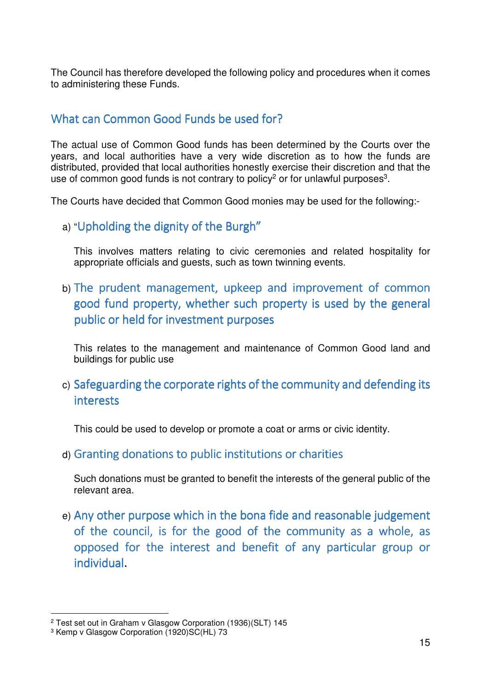The Council has therefore developed the following policy and procedures when it comes to administering these Funds.

# What can Common Good Funds be used for?

The actual use of Common Good funds has been determined by the Courts over the years, and local authorities have a very wide discretion as to how the funds are distributed, provided that local authorities honestly exercise their discretion and that the use of common good funds is not contrary to policy<sup>2</sup> or for unlawful purposes<sup>3</sup>.

The Courts have decided that Common Good monies may be used for the following:-

a) "Upholding the dignity of the Burgh"

 This involves matters relating to civic ceremonies and related hospitality for appropriate officials and guests, such as town twinning events.

b) The prudent management, upkeep and improvement of common good fund property, whether such property is used by the general public or held for investment purposes

This relates to the management and maintenance of Common Good land and buildings for public use

c) Safeguarding the corporate rights of the community and defending its interests

This could be used to develop or promote a coat or arms or civic identity.

d) Granting donations to public institutions or charities

 Such donations must be granted to benefit the interests of the general public of the relevant area.

e) Any other purpose which in the bona fide and reasonable judgement of the council, is for the good of the community as a whole, as opposed for the interest and benefit of any particular group or individual.

 $\overline{a}$ 

<sup>2</sup> Test set out in Graham v Glasgow Corporation (1936)(SLT) 145

<sup>3</sup> Kemp v Glasgow Corporation (1920)SC(HL) 73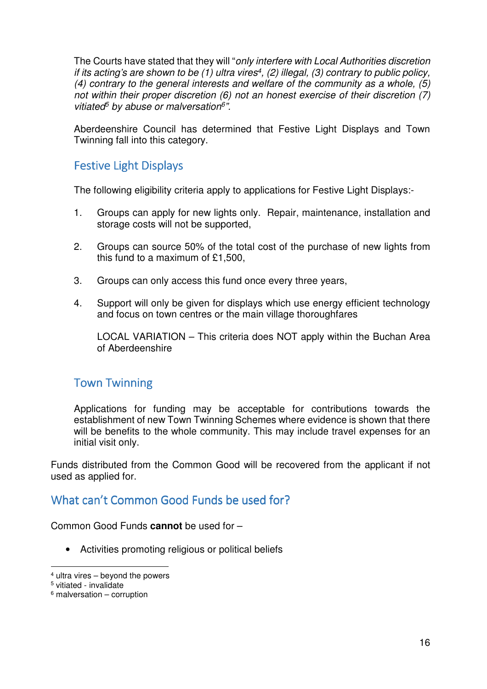The Courts have stated that they will "only interfere with Local Authorities discretion if its acting's are shown to be (1) ultra vires<sup>4</sup>, (2) illegal, (3) contrary to public policy, (4) contrary to the general interests and welfare of the community as a whole, (5) not within their proper discretion (6) not an honest exercise of their discretion (7) vitiated<sup>5</sup> by abuse or malversation<sup>6</sup>".

Aberdeenshire Council has determined that Festive Light Displays and Town Twinning fall into this category.

# Festive Light Displays

The following eligibility criteria apply to applications for Festive Light Displays:-

- 1. Groups can apply for new lights only. Repair, maintenance, installation and storage costs will not be supported,
- 2. Groups can source 50% of the total cost of the purchase of new lights from this fund to a maximum of £1,500,
- 3. Groups can only access this fund once every three years,
- 4. Support will only be given for displays which use energy efficient technology and focus on town centres or the main village thoroughfares

LOCAL VARIATION – This criteria does NOT apply within the Buchan Area of Aberdeenshire

# **Town Twinning**

Applications for funding may be acceptable for contributions towards the establishment of new Town Twinning Schemes where evidence is shown that there will be benefits to the whole community. This may include travel expenses for an initial visit only.

Funds distributed from the Common Good will be recovered from the applicant if not used as applied for.

# What can't Common Good Funds be used for?

Common Good Funds **cannot** be used for –

• Activities promoting religious or political beliefs

 $\overline{a}$ 

<sup>4</sup> ultra vires – beyond the powers

<sup>5</sup> vitiated - invalidate

<sup>6</sup> malversation – corruption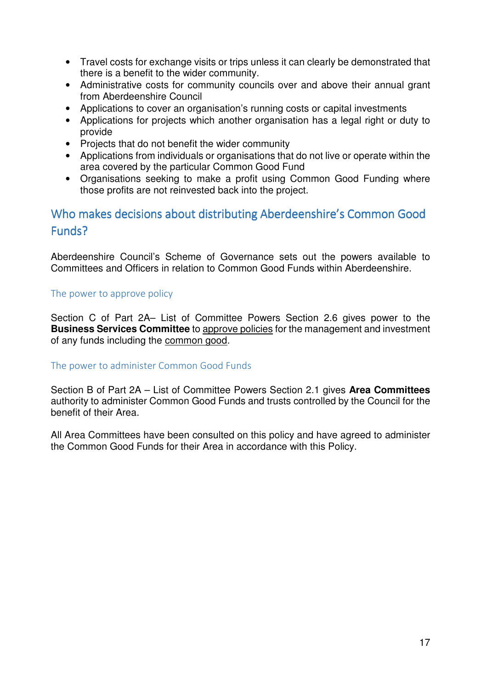- Travel costs for exchange visits or trips unless it can clearly be demonstrated that there is a benefit to the wider community.
- Administrative costs for community councils over and above their annual grant from Aberdeenshire Council
- Applications to cover an organisation's running costs or capital investments
- Applications for projects which another organisation has a legal right or duty to provide
- Projects that do not benefit the wider community
- Applications from individuals or organisations that do not live or operate within the area covered by the particular Common Good Fund
- Organisations seeking to make a profit using Common Good Funding where those profits are not reinvested back into the project.

# Who makes decisions about distributing Aberdeenshire's Common Good Funds?

Aberdeenshire Council's Scheme of Governance sets out the powers available to Committees and Officers in relation to Common Good Funds within Aberdeenshire.

#### The power to approve policy

Section C of Part 2A– List of Committee Powers Section 2.6 gives power to the **Business Services Committee** to approve policies for the management and investment of any funds including the common good.

### The power to administer Common Good Funds

Section B of Part 2A – List of Committee Powers Section 2.1 gives **Area Committees** authority to administer Common Good Funds and trusts controlled by the Council for the benefit of their Area.

All Area Committees have been consulted on this policy and have agreed to administer the Common Good Funds for their Area in accordance with this Policy.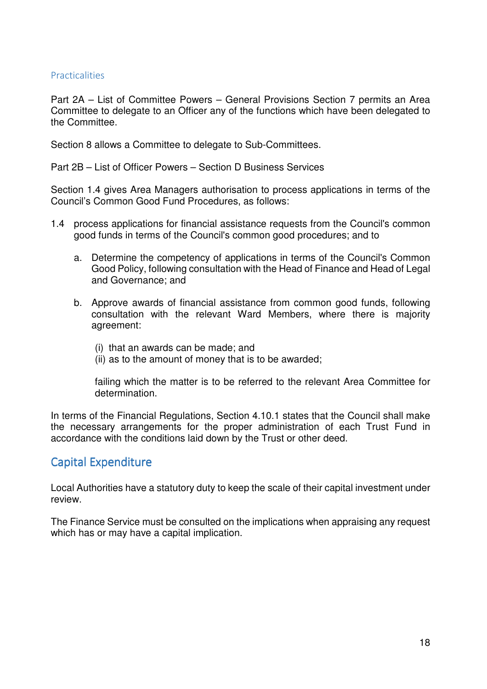#### **Practicalities**

Part 2A – List of Committee Powers – General Provisions Section 7 permits an Area Committee to delegate to an Officer any of the functions which have been delegated to the Committee.

Section 8 allows a Committee to delegate to Sub-Committees.

Part 2B – List of Officer Powers – Section D Business Services

Section 1.4 gives Area Managers authorisation to process applications in terms of the Council's Common Good Fund Procedures, as follows:

- 1.4 process applications for financial assistance requests from the Council's common good funds in terms of the Council's common good procedures; and to
	- a. Determine the competency of applications in terms of the Council's Common Good Policy, following consultation with the Head of Finance and Head of Legal and Governance; and
	- b. Approve awards of financial assistance from common good funds, following consultation with the relevant Ward Members, where there is majority agreement:
		- (i) that an awards can be made; and
		- (ii) as to the amount of money that is to be awarded;

failing which the matter is to be referred to the relevant Area Committee for determination.

In terms of the Financial Regulations, Section 4.10.1 states that the Council shall make the necessary arrangements for the proper administration of each Trust Fund in accordance with the conditions laid down by the Trust or other deed.

# **Capital Expenditure**

Local Authorities have a statutory duty to keep the scale of their capital investment under review.

The Finance Service must be consulted on the implications when appraising any request which has or may have a capital implication.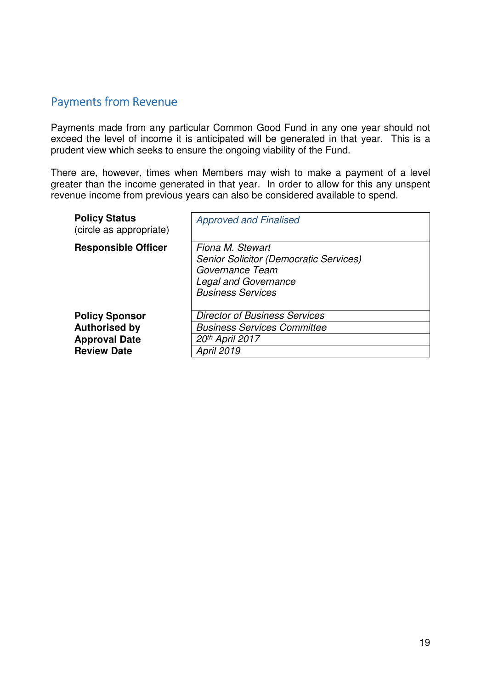# Payments from Revenue

Payments made from any particular Common Good Fund in any one year should not exceed the level of income it is anticipated will be generated in that year. This is a prudent view which seeks to ensure the ongoing viability of the Fund.

There are, however, times when Members may wish to make a payment of a level greater than the income generated in that year. In order to allow for this any unspent revenue income from previous years can also be considered available to spend.

| <b>Policy Status</b><br>(circle as appropriate)                                             | <b>Approved and Finalised</b>                                                                                                                   |
|---------------------------------------------------------------------------------------------|-------------------------------------------------------------------------------------------------------------------------------------------------|
| <b>Responsible Officer</b>                                                                  | Fiona M. Stewart<br><b>Senior Solicitor (Democratic Services)</b><br>Governance Team<br><b>Legal and Governance</b><br><b>Business Services</b> |
| <b>Policy Sponsor</b><br><b>Authorised by</b><br><b>Approval Date</b><br><b>Review Date</b> | <b>Director of Business Services</b><br><b>Business Services Committee</b><br>20th April 2017<br><b>April 2019</b>                              |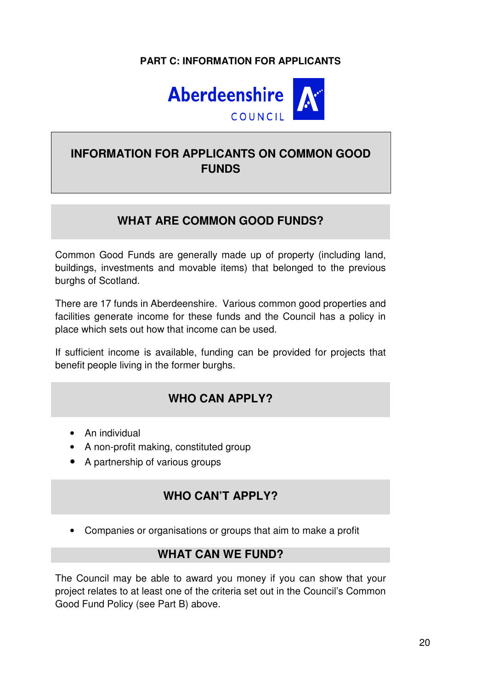# **PART C: INFORMATION FOR APPLICANTS**



# **INFORMATION FOR APPLICANTS ON COMMON GOOD FUNDS**

# **WHAT ARE COMMON GOOD FUNDS?**

Common Good Funds are generally made up of property (including land, buildings, investments and movable items) that belonged to the previous burghs of Scotland.

There are 17 funds in Aberdeenshire. Various common good properties and facilities generate income for these funds and the Council has a policy in place which sets out how that income can be used.

If sufficient income is available, funding can be provided for projects that benefit people living in the former burghs.

# **WHO CAN APPLY?**

- An individual
- A non-profit making, constituted group
- A partnership of various groups

# **WHO CAN'T APPLY?**

• Companies or organisations or groups that aim to make a profit

# **WHAT CAN WE FUND?**

The Council may be able to award you money if you can show that your project relates to at least one of the criteria set out in the Council's Common Good Fund Policy (see Part B) above.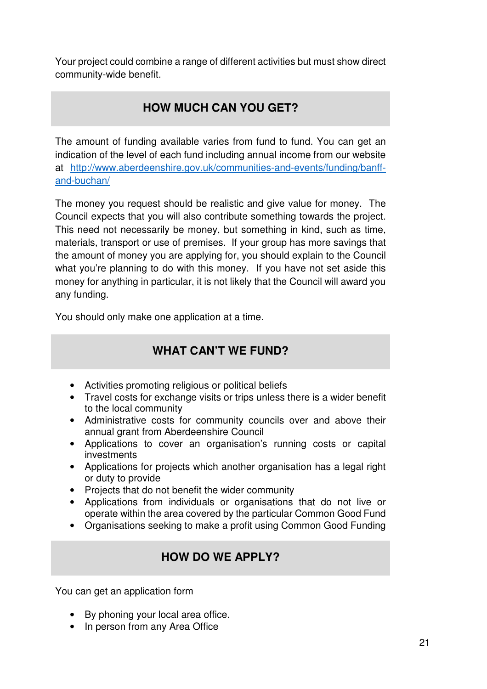Your project could combine a range of different activities but must show direct community-wide benefit.

# **HOW MUCH CAN YOU GET?**

The amount of funding available varies from fund to fund. You can get an indication of the level of each fund including annual income from our website at http://www.aberdeenshire.gov.uk/communities-and-events/funding/banffand-buchan/

The money you request should be realistic and give value for money. The Council expects that you will also contribute something towards the project. This need not necessarily be money, but something in kind, such as time, materials, transport or use of premises. If your group has more savings that the amount of money you are applying for, you should explain to the Council what you're planning to do with this money. If you have not set aside this money for anything in particular, it is not likely that the Council will award you any funding.

You should only make one application at a time.

# **WHAT CAN'T WE FUND?**

- Activities promoting religious or political beliefs
- Travel costs for exchange visits or trips unless there is a wider benefit to the local community
- Administrative costs for community councils over and above their annual grant from Aberdeenshire Council
- Applications to cover an organisation's running costs or capital investments
- Applications for projects which another organisation has a legal right or duty to provide
- Projects that do not benefit the wider community
- Applications from individuals or organisations that do not live or operate within the area covered by the particular Common Good Fund
- Organisations seeking to make a profit using Common Good Funding

# **HOW DO WE APPLY?**

You can get an application form

- By phoning your local area office.
- In person from any Area Office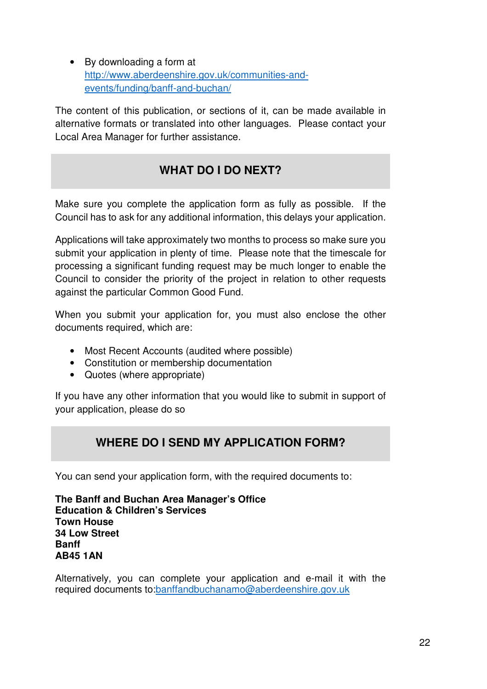• By downloading a form at http://www.aberdeenshire.gov.uk/communities-andevents/funding/banff-and-buchan/

The content of this publication, or sections of it, can be made available in alternative formats or translated into other languages. Please contact your Local Area Manager for further assistance.

# **WHAT DO I DO NEXT?**

Make sure you complete the application form as fully as possible. If the Council has to ask for any additional information, this delays your application.

Applications will take approximately two months to process so make sure you submit your application in plenty of time. Please note that the timescale for processing a significant funding request may be much longer to enable the Council to consider the priority of the project in relation to other requests against the particular Common Good Fund.

When you submit your application for, you must also enclose the other documents required, which are:

- Most Recent Accounts (audited where possible)
- Constitution or membership documentation
- Quotes (where appropriate)

If you have any other information that you would like to submit in support of your application, please do so

# **WHERE DO I SEND MY APPLICATION FORM?**

You can send your application form, with the required documents to:

**The Banff and Buchan Area Manager's Office Education & Children's Services Town House 34 Low Street Banff AB45 1AN** 

Alternatively, you can complete your application and e-mail it with the required documents to:banffandbuchanamo@aberdeenshire.gov.uk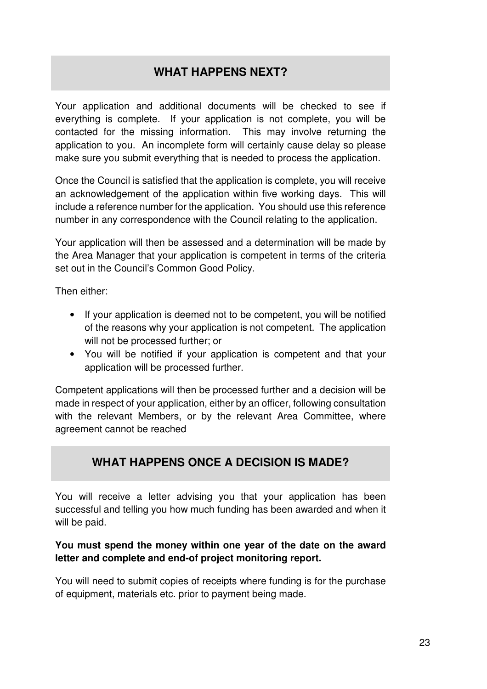# **WHAT HAPPENS NEXT?**

Your application and additional documents will be checked to see if everything is complete. If your application is not complete, you will be contacted for the missing information. This may involve returning the application to you. An incomplete form will certainly cause delay so please make sure you submit everything that is needed to process the application.

Once the Council is satisfied that the application is complete, you will receive an acknowledgement of the application within five working days. This will include a reference number for the application. You should use this reference number in any correspondence with the Council relating to the application.

Your application will then be assessed and a determination will be made by the Area Manager that your application is competent in terms of the criteria set out in the Council's Common Good Policy.

Then either:

- If your application is deemed not to be competent, you will be notified of the reasons why your application is not competent. The application will not be processed further; or
- You will be notified if your application is competent and that your application will be processed further.

Competent applications will then be processed further and a decision will be made in respect of your application, either by an officer, following consultation with the relevant Members, or by the relevant Area Committee, where agreement cannot be reached

# **WHAT HAPPENS ONCE A DECISION IS MADE?**

You will receive a letter advising you that your application has been successful and telling you how much funding has been awarded and when it will be paid.

### **You must spend the money within one year of the date on the award letter and complete and end-of project monitoring report.**

You will need to submit copies of receipts where funding is for the purchase of equipment, materials etc. prior to payment being made.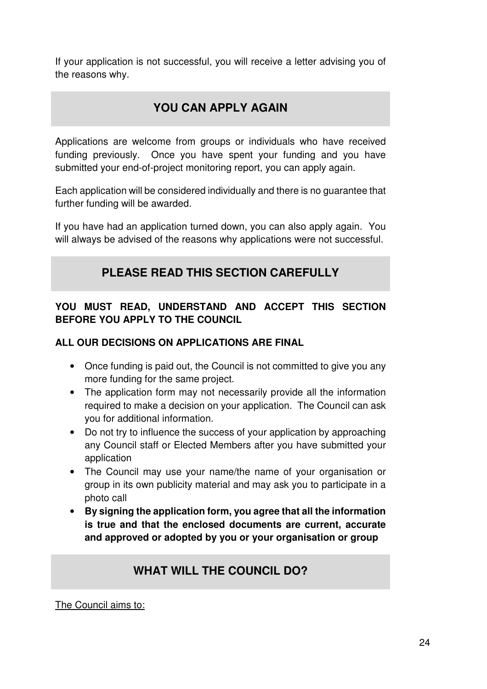If your application is not successful, you will receive a letter advising you of the reasons why.

# **YOU CAN APPLY AGAIN**

Applications are welcome from groups or individuals who have received funding previously. Once you have spent your funding and you have submitted your end-of-project monitoring report, you can apply again.

Each application will be considered individually and there is no guarantee that further funding will be awarded.

If you have had an application turned down, you can also apply again. You will always be advised of the reasons why applications were not successful.

# **PLEASE READ THIS SECTION CAREFULLY**

# **YOU MUST READ, UNDERSTAND AND ACCEPT THIS SECTION BEFORE YOU APPLY TO THE COUNCIL**

### **ALL OUR DECISIONS ON APPLICATIONS ARE FINAL**

- Once funding is paid out, the Council is not committed to give you any more funding for the same project.
- The application form may not necessarily provide all the information required to make a decision on your application. The Council can ask you for additional information.
- Do not try to influence the success of your application by approaching any Council staff or Elected Members after you have submitted your application
- The Council may use your name/the name of your organisation or group in its own publicity material and may ask you to participate in a photo call
- **By signing the application form, you agree that all the information is true and that the enclosed documents are current, accurate and approved or adopted by you or your organisation or group**

# **WHAT WILL THE COUNCIL DO?**

The Council aims to: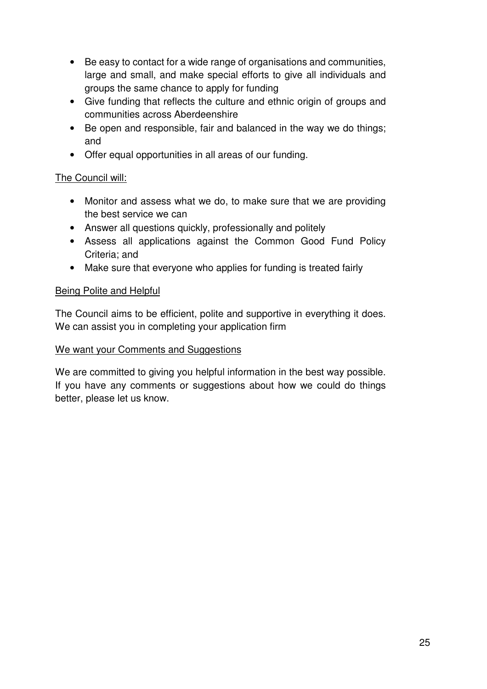- Be easy to contact for a wide range of organisations and communities, large and small, and make special efforts to give all individuals and groups the same chance to apply for funding
- Give funding that reflects the culture and ethnic origin of groups and communities across Aberdeenshire
- Be open and responsible, fair and balanced in the way we do things; and
- Offer equal opportunities in all areas of our funding.

## The Council will:

- Monitor and assess what we do, to make sure that we are providing the best service we can
- Answer all questions quickly, professionally and politely
- Assess all applications against the Common Good Fund Policy Criteria; and
- Make sure that everyone who applies for funding is treated fairly

### Being Polite and Helpful

The Council aims to be efficient, polite and supportive in everything it does. We can assist you in completing your application firm

### We want your Comments and Suggestions

We are committed to giving you helpful information in the best way possible. If you have any comments or suggestions about how we could do things better, please let us know.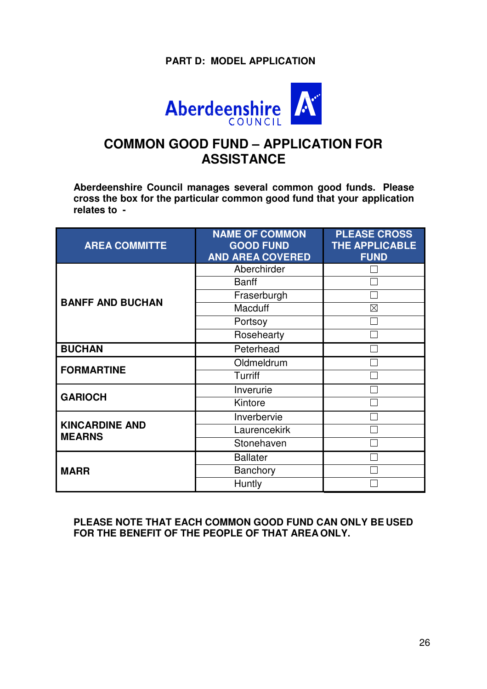## **PART D: MODEL APPLICATION**



# **COMMON GOOD FUND – APPLICATION FOR ASSISTANCE**

**Aberdeenshire Council manages several common good funds. Please cross the box for the particular common good fund that your application relates to -**

| <b>AREA COMMITTE</b>                   | <b>NAME OF COMMON</b><br><b>GOOD FUND</b><br><b>AND AREA COVERED</b> | <b>PLEASE CROSS</b><br><b>THE APPLICABLE</b><br><b>FUND</b> |
|----------------------------------------|----------------------------------------------------------------------|-------------------------------------------------------------|
|                                        | Aberchirder                                                          |                                                             |
|                                        | <b>Banff</b>                                                         |                                                             |
| <b>BANFF AND BUCHAN</b>                | Fraserburgh                                                          |                                                             |
|                                        | Macduff                                                              | $\times$                                                    |
|                                        | Portsoy                                                              |                                                             |
|                                        | Rosehearty                                                           |                                                             |
| <b>BUCHAN</b>                          | Peterhead                                                            |                                                             |
|                                        | Oldmeldrum                                                           |                                                             |
| <b>FORMARTINE</b>                      | <b>Turriff</b>                                                       |                                                             |
| <b>GARIOCH</b>                         | Inverurie                                                            |                                                             |
|                                        | Kintore                                                              |                                                             |
|                                        | Inverbervie                                                          |                                                             |
| <b>KINCARDINE AND</b><br><b>MEARNS</b> | Laurencekirk                                                         |                                                             |
|                                        | Stonehaven                                                           |                                                             |
|                                        | <b>Ballater</b>                                                      |                                                             |
| <b>MARR</b>                            | Banchory                                                             |                                                             |
|                                        | Huntly                                                               |                                                             |

#### **PLEASE NOTE THAT EACH COMMON GOOD FUND CAN ONLY BE USED FOR THE BENEFIT OF THE PEOPLE OF THAT AREA ONLY.**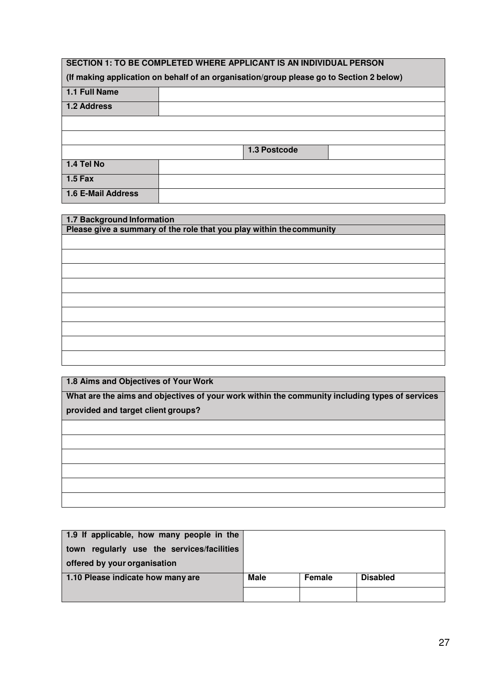#### **SECTION 1: TO BE COMPLETED WHERE APPLICANT IS AN INDIVIDUAL PERSON**

| (If making application on behalf of an organisation/group please go to Section 2 below) |  |              |  |  |
|-----------------------------------------------------------------------------------------|--|--------------|--|--|
| 1.1 Full Name                                                                           |  |              |  |  |
| 1.2 Address                                                                             |  |              |  |  |
|                                                                                         |  |              |  |  |
|                                                                                         |  |              |  |  |
|                                                                                         |  | 1.3 Postcode |  |  |
| 1.4 Tel No                                                                              |  |              |  |  |
| $1.5$ Fax                                                                               |  |              |  |  |
| 1.6 E-Mail Address                                                                      |  |              |  |  |

| 1.7 Background Information                                           |  |  |
|----------------------------------------------------------------------|--|--|
| Please give a summary of the role that you play within the community |  |  |
|                                                                      |  |  |
|                                                                      |  |  |
|                                                                      |  |  |
|                                                                      |  |  |
|                                                                      |  |  |
|                                                                      |  |  |
|                                                                      |  |  |
|                                                                      |  |  |
|                                                                      |  |  |

**1.8 Aims and Objectives of Your Work**

**What are the aims and objectives of your work within the community including types of services provided and target client groups?**

| 1.9 If applicable, how many people in the  |      |        |                 |
|--------------------------------------------|------|--------|-----------------|
| town regularly use the services/facilities |      |        |                 |
| offered by your organisation               |      |        |                 |
| 1.10 Please indicate how many are          | Male | Female | <b>Disabled</b> |
|                                            |      |        |                 |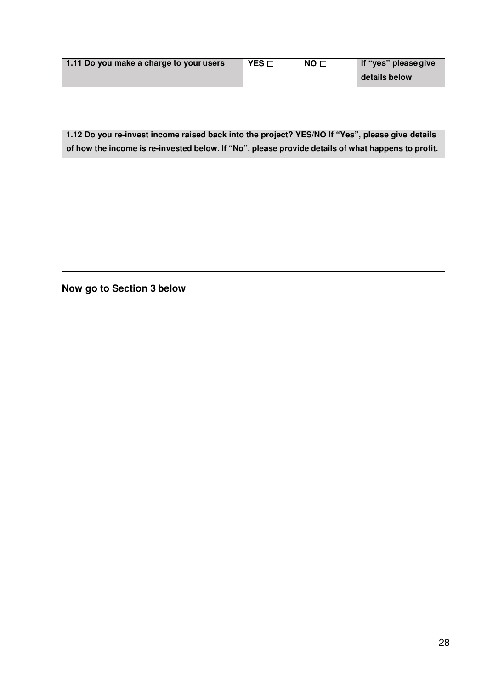| 1.11 Do you make a charge to your users                                                            | YES O | NO <sub>1</sub> | If "yes" please give |
|----------------------------------------------------------------------------------------------------|-------|-----------------|----------------------|
|                                                                                                    |       |                 | details below        |
|                                                                                                    |       |                 |                      |
|                                                                                                    |       |                 |                      |
|                                                                                                    |       |                 |                      |
| 1.12 Do you re-invest income raised back into the project? YES/NO If "Yes", please give details    |       |                 |                      |
| of how the income is re-invested below. If "No", please provide details of what happens to profit. |       |                 |                      |
|                                                                                                    |       |                 |                      |
|                                                                                                    |       |                 |                      |
|                                                                                                    |       |                 |                      |
|                                                                                                    |       |                 |                      |
|                                                                                                    |       |                 |                      |
|                                                                                                    |       |                 |                      |
|                                                                                                    |       |                 |                      |
|                                                                                                    |       |                 |                      |

**Now go to Section 3 below**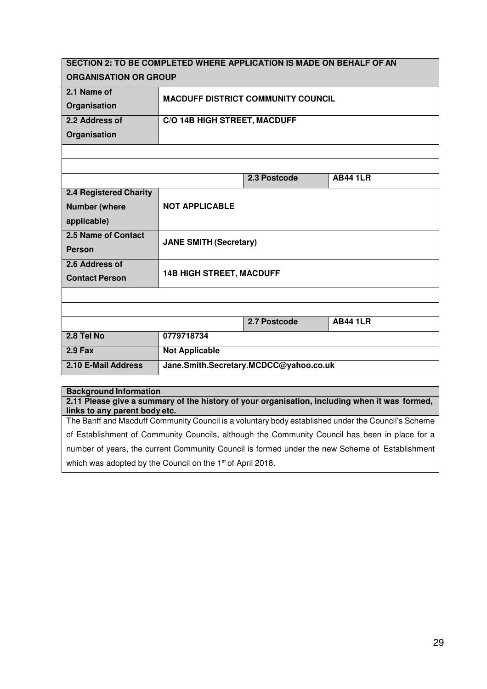| SECTION 2: TO BE COMPLETED WHERE APPLICATION IS MADE ON BEHALF OF AN |                                 |                                           |                 |  |  |
|----------------------------------------------------------------------|---------------------------------|-------------------------------------------|-----------------|--|--|
| <b>ORGANISATION OR GROUP</b>                                         |                                 |                                           |                 |  |  |
| 2.1 Name of                                                          |                                 | <b>MACDUFF DISTRICT COMMUNITY COUNCIL</b> |                 |  |  |
| Organisation                                                         |                                 |                                           |                 |  |  |
| 2.2 Address of                                                       | C/O 14B HIGH STREET, MACDUFF    |                                           |                 |  |  |
| Organisation                                                         |                                 |                                           |                 |  |  |
|                                                                      |                                 |                                           |                 |  |  |
|                                                                      |                                 |                                           |                 |  |  |
|                                                                      |                                 | 2.3 Postcode                              | <b>AB44 1LR</b> |  |  |
| 2.4 Registered Charity                                               |                                 |                                           |                 |  |  |
| <b>Number (where</b>                                                 | <b>NOT APPLICABLE</b>           |                                           |                 |  |  |
| applicable)                                                          |                                 |                                           |                 |  |  |
| 2.5 Name of Contact                                                  | <b>JANE SMITH (Secretary)</b>   |                                           |                 |  |  |
| <b>Person</b>                                                        |                                 |                                           |                 |  |  |
| 2.6 Address of                                                       |                                 |                                           |                 |  |  |
| <b>Contact Person</b>                                                | <b>14B HIGH STREET, MACDUFF</b> |                                           |                 |  |  |
|                                                                      |                                 |                                           |                 |  |  |
|                                                                      |                                 |                                           |                 |  |  |
|                                                                      |                                 | 2.7 Postcode                              | <b>AB44 1LR</b> |  |  |
| 2.8 Tel No                                                           | 0779718734                      |                                           |                 |  |  |
| $2.9$ Fax                                                            | <b>Not Applicable</b>           |                                           |                 |  |  |
| 2.10 E-Mail Address                                                  |                                 | Jane.Smith.Secretary.MCDCC@yahoo.co.uk    |                 |  |  |

#### **Background Information**

**2.11 Please give a summary of the history of your organisation, including when it was formed, links to any parent body etc.**

The Banff and Macduff Community Council is a voluntary body established under the Council's Scheme of Establishment of Community Councils, although the Community Council has been in place for a number of years, the current Community Council is formed under the new Scheme of Establishment which was adopted by the Council on the 1<sup>st</sup> of April 2018.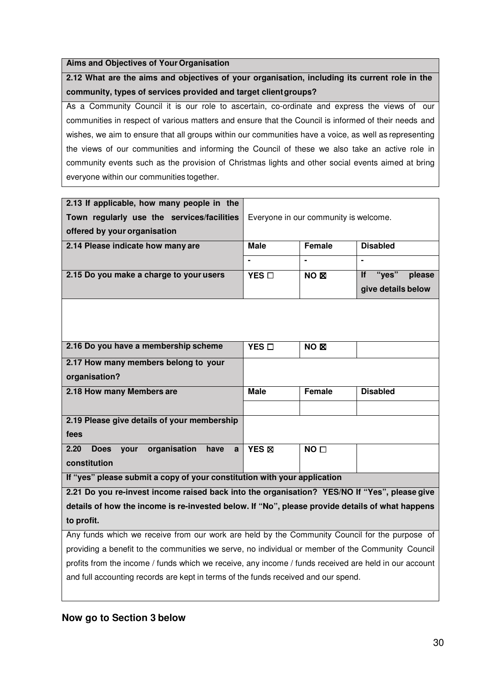#### **Aims and Objectives of Your Organisation**

**2.12 What are the aims and objectives of your organisation, including its current role in the community, types of services provided and target client groups?**

As a Community Council it is our role to ascertain, co-ordinate and express the views of our communities in respect of various matters and ensure that the Council is informed of their needs and wishes, we aim to ensure that all groups within our communities have a voice, as well as representing the views of our communities and informing the Council of these we also take an active role in community events such as the provision of Christmas lights and other social events aimed at bring everyone within our communities together.

| 2.13 If applicable, how many people in the                                                            |                                       |                 |                              |
|-------------------------------------------------------------------------------------------------------|---------------------------------------|-----------------|------------------------------|
| Town regularly use the services/facilities                                                            | Everyone in our community is welcome. |                 |                              |
| offered by your organisation                                                                          |                                       |                 |                              |
| 2.14 Please indicate how many are                                                                     | <b>Male</b>                           | Female          | <b>Disabled</b>              |
|                                                                                                       |                                       |                 |                              |
| 2.15 Do you make a charge to your users                                                               | YES O                                 | NO <sub>N</sub> | "yes"<br><b>If</b><br>please |
|                                                                                                       |                                       |                 | give details below           |
|                                                                                                       |                                       |                 |                              |
| 2.16 Do you have a membership scheme                                                                  | YES O                                 | NO <sub>N</sub> |                              |
| 2.17 How many members belong to your                                                                  |                                       |                 |                              |
| organisation?                                                                                         |                                       |                 |                              |
| 2.18 How many Members are                                                                             | <b>Male</b>                           | <b>Female</b>   | <b>Disabled</b>              |
|                                                                                                       |                                       |                 |                              |
| 2.19 Please give details of your membership                                                           |                                       |                 |                              |
| fees                                                                                                  |                                       |                 |                              |
| 2.20<br>organisation<br><b>Does</b><br>your<br>have<br>a                                              | YES <sub>EX</sub>                     | NO <sub>0</sub> |                              |
| constitution                                                                                          |                                       |                 |                              |
| If "yes" please submit a copy of your constitution with your application                              |                                       |                 |                              |
| 2.21 Do you re-invest income raised back into the organisation? YES/NO If "Yes", please give          |                                       |                 |                              |
| details of how the income is re-invested below. If "No", please provide details of what happens       |                                       |                 |                              |
| to profit.                                                                                            |                                       |                 |                              |
| Any funds which we receive from our work are held by the Community Council for the purpose of         |                                       |                 |                              |
| providing a benefit to the communities we serve, no individual or member of the Community Council     |                                       |                 |                              |
| profits from the income / funds which we receive, any income / funds received are held in our account |                                       |                 |                              |
| and full accounting records are kept in terms of the funds received and our spend.                    |                                       |                 |                              |

#### **Now go to Section 3 below**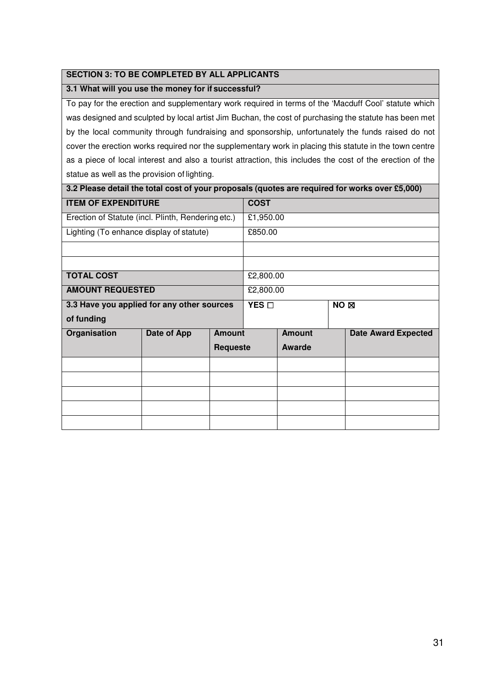#### **SECTION 3: TO BE COMPLETED BY ALL APPLICANTS**

#### **3.1 What will you use the money for if successful?**

To pay for the erection and supplementary work required in terms of the 'Macduff Cool' statute which was designed and sculpted by local artist Jim Buchan, the cost of purchasing the statute has been met by the local community through fundraising and sponsorship, unfortunately the funds raised do not cover the erection works required nor the supplementary work in placing this statute in the town centre as a piece of local interest and also a tourist attraction, this includes the cost of the erection of the statue as well as the provision of lighting.

| 3.2 Please detail the total cost of your proposals (quotes are required for works over £5,000) |             |               |           |                 |  |                            |
|------------------------------------------------------------------------------------------------|-------------|---------------|-----------|-----------------|--|----------------------------|
| <b>ITEM OF EXPENDITURE</b>                                                                     |             | <b>COST</b>   |           |                 |  |                            |
| Erection of Statute (incl. Plinth, Rendering etc.)                                             |             |               | £1,950.00 |                 |  |                            |
| Lighting (To enhance display of statute)                                                       |             |               | £850.00   |                 |  |                            |
|                                                                                                |             |               |           |                 |  |                            |
|                                                                                                |             |               |           |                 |  |                            |
| <b>TOTAL COST</b>                                                                              |             | £2,800.00     |           |                 |  |                            |
| <b>AMOUNT REQUESTED</b>                                                                        |             |               | £2,800.00 |                 |  |                            |
| 3.3 Have you applied for any other sources                                                     |             |               | YES O     | NO <sub>N</sub> |  |                            |
| of funding                                                                                     |             |               |           |                 |  |                            |
| Organisation                                                                                   | Date of App | <b>Amount</b> |           | <b>Amount</b>   |  | <b>Date Award Expected</b> |
|                                                                                                |             | Requeste      |           | Awarde          |  |                            |
|                                                                                                |             |               |           |                 |  |                            |
|                                                                                                |             |               |           |                 |  |                            |
|                                                                                                |             |               |           |                 |  |                            |
|                                                                                                |             |               |           |                 |  |                            |
|                                                                                                |             |               |           |                 |  |                            |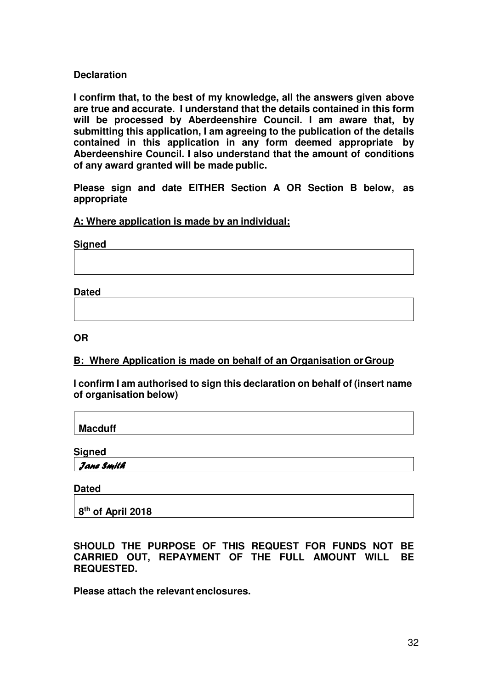#### **Declaration**

**I confirm that, to the best of my knowledge, all the answers given above are true and accurate. I understand that the details contained in this form will be processed by Aberdeenshire Council. I am aware that, by submitting this application, I am agreeing to the publication of the details contained in this application in any form deemed appropriate by Aberdeenshire Council. I also understand that the amount of conditions of any award granted will be made public.**

**Please sign and date EITHER Section A OR Section B below, as appropriate**

#### **A: Where application is made by an individual:**

**Signed**

**Dated**

**OR**

#### **B: Where Application is made on behalf of an Organisation or Group**

**I confirm I am authorised to sign this declaration on behalf of (insert name of organisation below)**

**Macduff**

**Signed**

Jane Smit**h** 

**Dated**

**8 th of April 2018**

**SHOULD THE PURPOSE OF THIS REQUEST FOR FUNDS NOT BE CARRIED OUT, REPAYMENT OF THE FULL AMOUNT WILL BE REQUESTED.**

**Please attach the relevant enclosures.**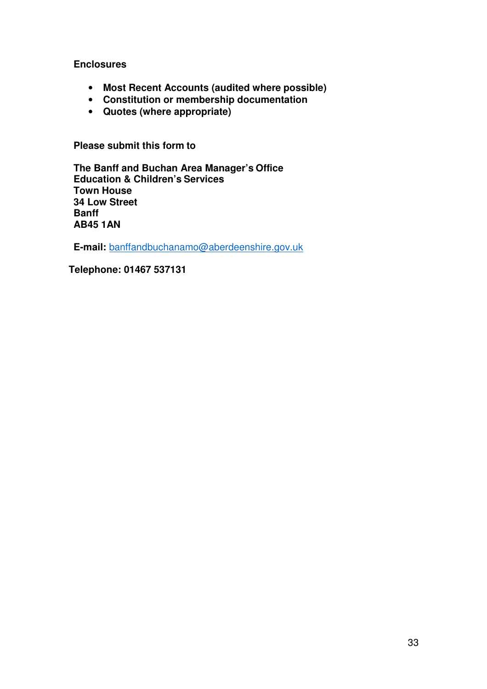**Enclosures**

- **Most Recent Accounts (audited where possible)**
- **Constitution or membership documentation**
- **Quotes (where appropriate)**

**Please submit this form to**

**The Banff and Buchan Area Manager's Office Education & Children's Services Town House 34 Low Street Banff AB45 1AN**

**E-mail:** banffandbuchanamo@aberdeenshire.gov.uk

**Telephone: 01467 537131**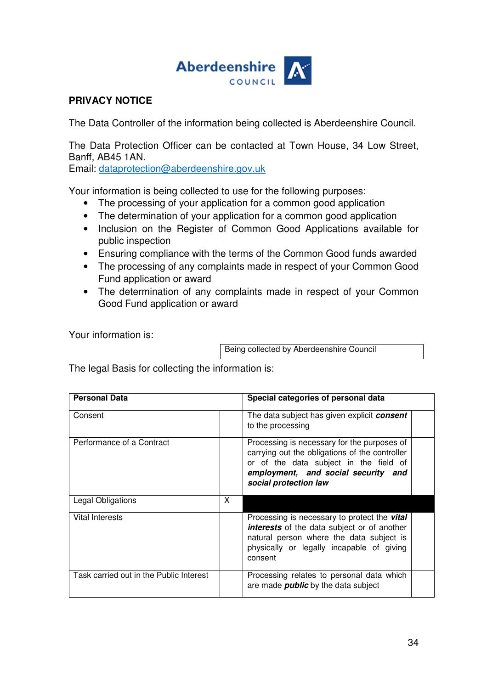

#### **PRIVACY NOTICE**

The Data Controller of the information being collected is Aberdeenshire Council.

The Data Protection Officer can be contacted at Town House, 34 Low Street, Banff, AB45 1AN.

Email: dataprotection@aberdeenshire.gov.uk

Your information is being collected to use for the following purposes:

- The processing of your application for a common good application
- The determination of your application for a common good application
- Inclusion on the Register of Common Good Applications available for public inspection
- Ensuring compliance with the terms of the Common Good funds awarded
- The processing of any complaints made in respect of your Common Good Fund application or award
- The determination of any complaints made in respect of your Common Good Fund application or award

Your information is:

Being collected by Aberdeenshire Council

The legal Basis for collecting the information is:

| <b>Personal Data</b>                    |   | Special categories of personal data                                                                                                                                                                     |  |
|-----------------------------------------|---|---------------------------------------------------------------------------------------------------------------------------------------------------------------------------------------------------------|--|
| Consent                                 |   | The data subject has given explicit <b>consent</b><br>to the processing                                                                                                                                 |  |
| Performance of a Contract               |   | Processing is necessary for the purposes of<br>carrying out the obligations of the controller<br>or of the data subject in the field of<br>employment, and social security and<br>social protection law |  |
| Legal Obligations                       | X |                                                                                                                                                                                                         |  |
| Vital Interests                         |   | Processing is necessary to protect the vital<br><b>interests</b> of the data subject or of another<br>natural person where the data subject is<br>physically or legally incapable of giving<br>consent  |  |
| Task carried out in the Public Interest |   | Processing relates to personal data which<br>are made <i>public</i> by the data subject                                                                                                                 |  |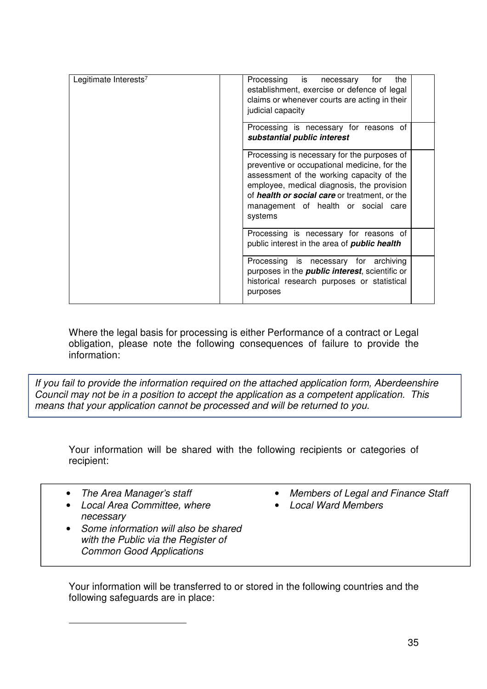| Legitimate Interests <sup>7</sup> | Processing is necessary<br>for<br>the<br>establishment, exercise or defence of legal<br>claims or whenever courts are acting in their<br>judicial capacity                                                                                                                                |
|-----------------------------------|-------------------------------------------------------------------------------------------------------------------------------------------------------------------------------------------------------------------------------------------------------------------------------------------|
|                                   | Processing is necessary for reasons of<br>substantial public interest                                                                                                                                                                                                                     |
|                                   | Processing is necessary for the purposes of<br>preventive or occupational medicine, for the<br>assessment of the working capacity of the<br>employee, medical diagnosis, the provision<br>of health or social care or treatment, or the<br>management of health or social care<br>systems |
|                                   | Processing is necessary for reasons of<br>public interest in the area of <b>public health</b>                                                                                                                                                                                             |
|                                   | Processing is necessary for archiving<br>purposes in the <i>public interest</i> , scientific or<br>historical research purposes or statistical<br>purposes                                                                                                                                |

Where the legal basis for processing is either Performance of a contract or Legal obligation, please note the following consequences of failure to provide the information:

If you fail to provide the information required on the attached application form, Aberdeenshire Council may not be in a position to accept the application as a competent application. This means that your application cannot be processed and will be returned to you.

Your information will be shared with the following recipients or categories of recipient:

• The Area Manager's staff

 $\overline{a}$ 

- Local Area Committee, where necessary
- Some information will also be shared with the Public via the Register of Common Good Applications
- Members of Legal and Finance Staff
- Local Ward Members

Your information will be transferred to or stored in the following countries and the following safeguards are in place: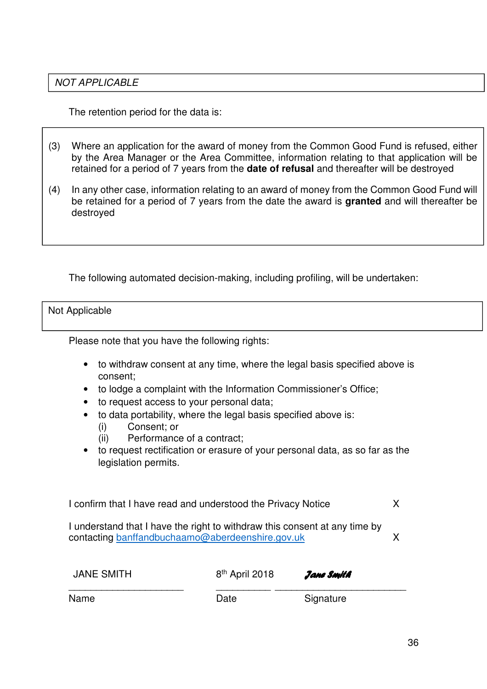### NOT APPLICABLE

The retention period for the data is:

- (3) Where an application for the award of money from the Common Good Fund is refused, either by the Area Manager or the Area Committee, information relating to that application will be retained for a period of 7 years from the **date of refusal** and thereafter will be destroyed
- (4) In any other case, information relating to an award of money from the Common Good Fund will be retained for a period of 7 years from the date the award is **granted** and will thereafter be destroyed

The following automated decision-making, including profiling, will be undertaken:

#### Not Applicable

Please note that you have the following rights:

- to withdraw consent at any time, where the legal basis specified above is consent;
- to lodge a complaint with the Information Commissioner's Office;
- to request access to your personal data;
- to data portability, where the legal basis specified above is:
	- (i) Consent; or
	- (ii) Performance of a contract;
- to request rectification or erasure of your personal data, as so far as the legislation permits.

I confirm that I have read and understood the Privacy Notice X

I understand that I have the right to withdraw this consent at any time by contacting banffandbuchaamo@aberdeenshire.gov.uk X

| <b>JANE SMITH</b> | 8 <sup>th</sup> April 2018 | Jane Smith |
|-------------------|----------------------------|------------|
| Name              | Date                       | Signature  |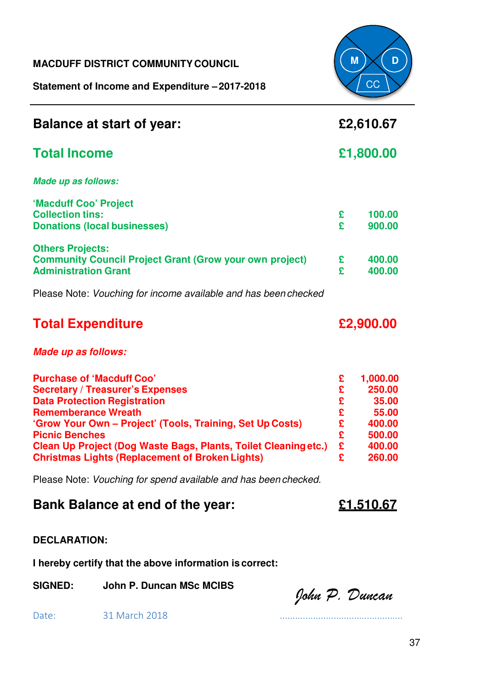### **MACDUFF DISTRICT COMMUNITY COUNCIL**

**Statement of Income and Expenditure – 2017-2018**



| <b>Balance at start of year:</b>                                                                                                                                                                                                                                                                                                                                    | £2,610.67                                             |                                                                              |
|---------------------------------------------------------------------------------------------------------------------------------------------------------------------------------------------------------------------------------------------------------------------------------------------------------------------------------------------------------------------|-------------------------------------------------------|------------------------------------------------------------------------------|
| <b>Total Income</b>                                                                                                                                                                                                                                                                                                                                                 | £1,800.00                                             |                                                                              |
| <b>Made up as follows:</b>                                                                                                                                                                                                                                                                                                                                          |                                                       |                                                                              |
| 'Macduff Coo' Project<br><b>Collection tins:</b><br><b>Donations (local businesses)</b>                                                                                                                                                                                                                                                                             | £<br>£                                                | 100.00<br>900.00                                                             |
| <b>Others Projects:</b><br><b>Community Council Project Grant (Grow your own project)</b><br><b>Administration Grant</b>                                                                                                                                                                                                                                            | £<br>£                                                | 400.00<br>400.00                                                             |
| Please Note: Vouching for income available and has been checked                                                                                                                                                                                                                                                                                                     |                                                       |                                                                              |
| <b>Total Expenditure</b>                                                                                                                                                                                                                                                                                                                                            | £2,900.00                                             |                                                                              |
| <b>Made up as follows:</b>                                                                                                                                                                                                                                                                                                                                          |                                                       |                                                                              |
| <b>Purchase of 'Macduff Coo'</b><br><b>Secretary / Treasurer's Expenses</b><br><b>Data Protection Registration</b><br><b>Rememberance Wreath</b><br>'Grow Your Own - Project' (Tools, Training, Set Up Costs)<br><b>Picnic Benches</b><br>Clean Up Project (Dog Waste Bags, Plants, Toilet Cleaning etc.)<br><b>Christmas Lights (Replacement of Broken Lights)</b> | £<br>£<br>£<br>£<br>£<br>£<br>£<br>$\hat{\mathbf{r}}$ | 1,000.00<br>250.00<br>35.00<br>55.00<br>400.00<br>500.00<br>400.00<br>260.00 |
| Please Note: Vouching for spend available and has been checked.                                                                                                                                                                                                                                                                                                     |                                                       |                                                                              |

# **Bank Balance at end of the year: £1,510.67**

### **DECLARATION:**

**I hereby certify that the above information is correct:**

SIGNED: John P. Duncan MSc MCIBS<br>John P. Duncan

Date: 31 March 2018 ................................................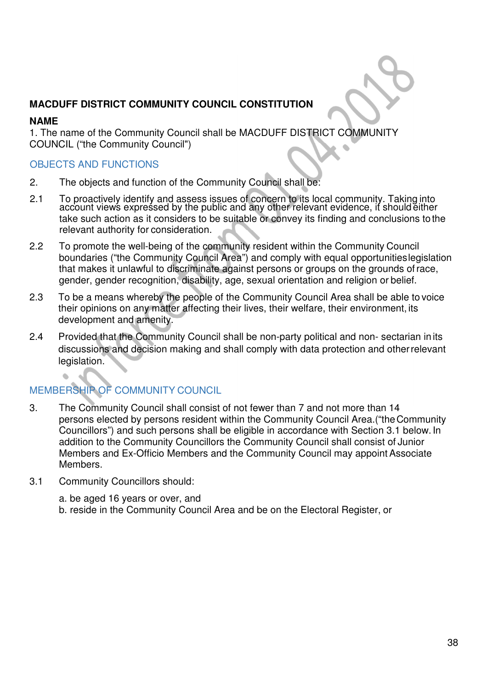## **MACDUFF DISTRICT COMMUNITY COUNCIL CONSTITUTION**

#### **NAME**

1. The name of the Community Council shall be MACDUFF DISTRICT COMMUNITY COUNCIL ("the Community Council")

### OBJECTS AND FUNCTIONS

- 2. The objects and function of the Community Council shall be:
- 2.1 To proactively identify and assess issues of concern to its local community. Taking into account views expressed by the public and any other relevant evidence, if should either take such action as it considers to be suitable or convey its finding and conclusions to the relevant authority for consideration.
- 2.2 To promote the well-being of the community resident within the Community Council boundaries ("the Community Council Area") and comply with equal opportunities legislation that makes it unlawful to discriminate against persons or groups on the grounds of race, gender, gender recognition, disability, age, sexual orientation and religion or belief.
- 2.3 To be a means whereby the people of the Community Council Area shall be able to voice their opinions on any matter affecting their lives, their welfare, their environment, its development and amenity.
- 2.4 Provided that the Community Council shall be non-party political and non- sectarian in its discussions and decision making and shall comply with data protection and other relevant legislation.

# MEMBERSHIP OF COMMUNITY COUNCIL

- 3. The Community Council shall consist of not fewer than 7 and not more than 14 persons elected by persons resident within the Community Council Area.("the Community Councillors") and such persons shall be eligible in accordance with Section 3.1 below. In addition to the Community Councillors the Community Council shall consist of Junior Members and Ex-Officio Members and the Community Council may appoint Associate Members.
- 3.1 Community Councillors should:

a. be aged 16 years or over, and

b. reside in the Community Council Area and be on the Electoral Register, or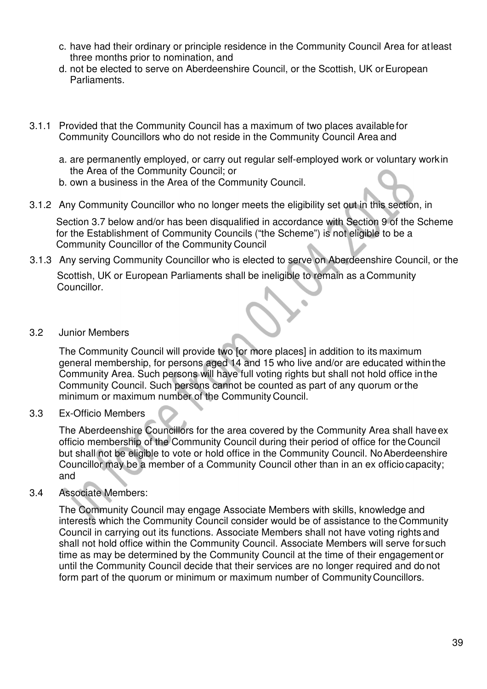- c. have had their ordinary or principle residence in the Community Council Area for at least three months prior to nomination, and
- d. not be elected to serve on Aberdeenshire Council, or the Scottish, UK or European Parliaments.
- 3.1.1 Provided that the Community Council has a maximum of two places available for Community Councillors who do not reside in the Community Council Area and
	- a. are permanently employed, or carry out regular self-employed work or voluntary work in the Area of the Community Council; or
	- b. own a business in the Area of the Community Council.
- 3.1.2 Any Community Councillor who no longer meets the eligibility set out in this section, in

Section 3.7 below and/or has been disqualified in accordance with Section 9 of the Scheme for the Establishment of Community Councils ("the Scheme") is not eligible to be a Community Councillor of the Community Council

- 3.1.3 Any serving Community Councillor who is elected to serve on Aberdeenshire Council, or the Scottish, UK or European Parliaments shall be ineligible to remain as a Community Councillor.
- 3.2 Junior Members

The Community Council will provide two [or more places] in addition to its maximum general membership, for persons aged 14 and 15 who live and/or are educated within the Community Area. Such persons will have full voting rights but shall not hold office in the Community Council. Such persons cannot be counted as part of any quorum or the minimum or maximum number of the Community Council.

3.3 Ex-Officio Members

The Aberdeenshire Councillors for the area covered by the Community Area shall have ex officio membership of the Community Council during their period of office for the Council but shall not be eligible to vote or hold office in the Community Council. No Aberdeenshire Councillor may be a member of a Community Council other than in an ex officio capacity; and

3.4 Associate Members:

The Community Council may engage Associate Members with skills, knowledge and interests which the Community Council consider would be of assistance to the Community Council in carrying out its functions. Associate Members shall not have voting rights and shall not hold office within the Community Council. Associate Members will serve for such time as may be determined by the Community Council at the time of their engagement or until the Community Council decide that their services are no longer required and do not form part of the quorum or minimum or maximum number of Community Councillors.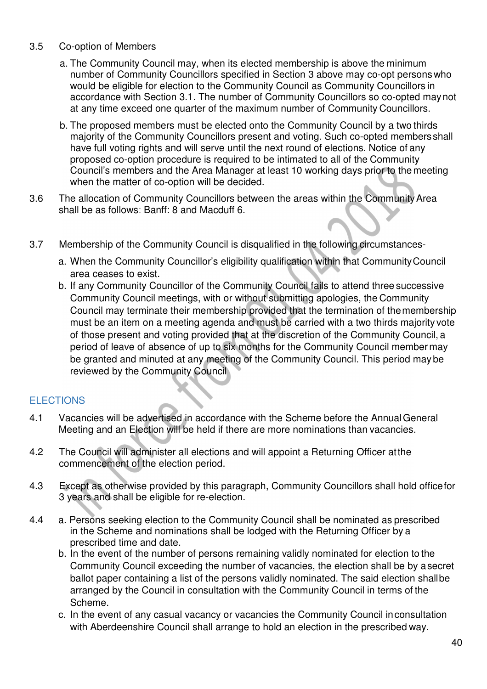### 3.5 Co-option of Members

- a. The Community Council may, when its elected membership is above the minimum number of Community Councillors specified in Section 3 above may co-opt persons who would be eligible for election to the Community Council as Community Councillors in accordance with Section 3.1. The number of Community Councillors so co-opted may not at any time exceed one quarter of the maximum number of Community Councillors.
- b. The proposed members must be elected onto the Community Council by a two thirds majority of the Community Councillors present and voting. Such co-opted members shall have full voting rights and will serve until the next round of elections. Notice of any proposed co-option procedure is required to be intimated to all of the Community Council's members and the Area Manager at least 10 working days prior to the meeting when the matter of co-option will be decided.
- 3.6 The allocation of Community Councillors between the areas within the Community Area shall be as follows: Banff: 8 and Macduff 6.
- 3.7 Membership of the Community Council is disqualified in the following circumstances
	- a. When the Community Councillor's eligibility qualification within that Community Council area ceases to exist.
	- b. If any Community Councillor of the Community Council fails to attend three successive Community Council meetings, with or without submitting apologies, the Community Council may terminate their membership provided that the termination of the membership must be an item on a meeting agenda and must be carried with a two thirds majority vote of those present and voting provided that at the discretion of the Community Council, a period of leave of absence of up to six months for the Community Council member may be granted and minuted at any meeting of the Community Council. This period may be reviewed by the Community Council

## **ELECTIONS**

- 4.1 Vacancies will be advertised in accordance with the Scheme before the Annual General Meeting and an Election will be held if there are more nominations than vacancies.
- 4.2 The Council will administer all elections and will appoint a Returning Officer at the commencement of the election period.
- 4.3 Except as otherwise provided by this paragraph, Community Councillors shall hold office for 3 years and shall be eligible for re-election.
- 4.4 a. Persons seeking election to the Community Council shall be nominated as prescribed in the Scheme and nominations shall be lodged with the Returning Officer by a prescribed time and date.
	- b. In the event of the number of persons remaining validly nominated for election to the Community Council exceeding the number of vacancies, the election shall be by a secret ballot paper containing a list of the persons validly nominated. The said election shall be arranged by the Council in consultation with the Community Council in terms of the Scheme.
	- c. In the event of any casual vacancy or vacancies the Community Council in consultation with Aberdeenshire Council shall arrange to hold an election in the prescribed way.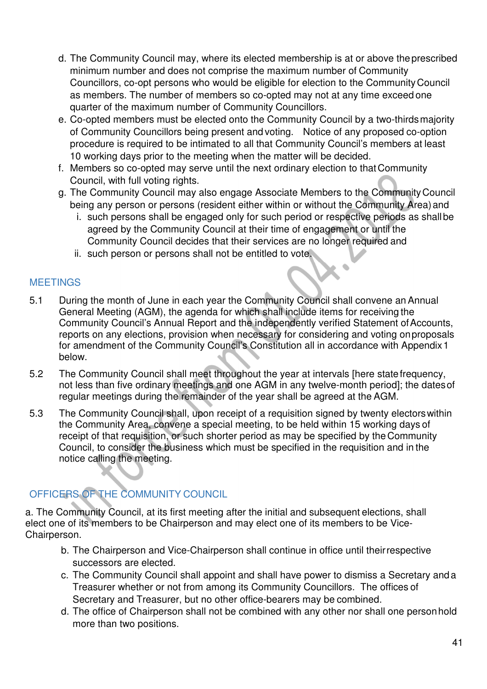- d. The Community Council may, where its elected membership is at or above the prescribed minimum number and does not comprise the maximum number of Community Councillors, co-opt persons who would be eligible for election to the Community Council as members. The number of members so co-opted may not at any time exceed one quarter of the maximum number of Community Councillors.
- e. Co-opted members must be elected onto the Community Council by a two-thirds majority of Community Councillors being present and voting. Notice of any proposed co-option procedure is required to be intimated to all that Community Council's members at least 10 working days prior to the meeting when the matter will be decided.
- f. Members so co-opted may serve until the next ordinary election to that Community Council, with full voting rights.
- g. The Community Council may also engage Associate Members to the Community Council being any person or persons (resident either within or without the Community Area) and
	- i. such persons shall be engaged only for such period or respective periods as shall be agreed by the Community Council at their time of engagement or until the Community Council decides that their services are no longer required and
	- ii. such person or persons shall not be entitled to vote.

### **MEETINGS**

- 5.1 During the month of June in each year the Community Council shall convene an Annual General Meeting (AGM), the agenda for which shall include items for receiving the Community Council's Annual Report and the independently verified Statement of Accounts, reports on any elections, provision when necessary for considering and voting on proposals for amendment of the Community Council's Constitution all in accordance with Appendix 1 below.
- 5.2 The Community Council shall meet throughout the year at intervals [here state frequency, not less than five ordinary meetings and one AGM in any twelve-month period]; the dates of regular meetings during the remainder of the year shall be agreed at the AGM.
- 5.3 The Community Council shall, upon receipt of a requisition signed by twenty electors within the Community Area, convene a special meeting, to be held within 15 working days of receipt of that requisition, or such shorter period as may be specified by the Community Council, to consider the business which must be specified in the requisition and in the notice calling the meeting.

# OFFICERS OF THE COMMUNITY COUNCIL

a. The Community Council, at its first meeting after the initial and subsequent elections, shall elect one of its members to be Chairperson and may elect one of its members to be Vice-Chairperson.

- b. The Chairperson and Vice-Chairperson shall continue in office until their respective successors are elected.
- c. The Community Council shall appoint and shall have power to dismiss a Secretary and a Treasurer whether or not from among its Community Councillors. The offices of Secretary and Treasurer, but no other office-bearers may be combined.
- d. The office of Chairperson shall not be combined with any other nor shall one person hold more than two positions.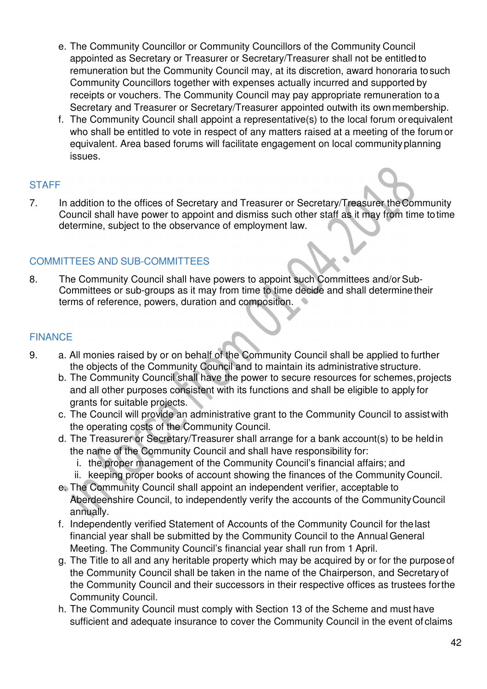- e. The Community Councillor or Community Councillors of the Community Council appointed as Secretary or Treasurer or Secretary/Treasurer shall not be entitled to remuneration but the Community Council may, at its discretion, award honoraria to such Community Councillors together with expenses actually incurred and supported by receipts or vouchers. The Community Council may pay appropriate remuneration to a Secretary and Treasurer or Secretary/Treasurer appointed outwith its own membership.
- f. The Community Council shall appoint a representative(s) to the local forum or equivalent who shall be entitled to vote in respect of any matters raised at a meeting of the forum or equivalent. Area based forums will facilitate engagement on local community planning issues.

### **STAFF**

7. In addition to the offices of Secretary and Treasurer or Secretary/Treasurer the Community Council shall have power to appoint and dismiss such other staff as it may from time to time determine, subject to the observance of employment law.

## COMMITTEES AND SUB-COMMITTEES

8. The Community Council shall have powers to appoint such Committees and/or Sub-Committees or sub-groups as it may from time to time decide and shall determine their terms of reference, powers, duration and composition.

## FINANCE

- 9. a. All monies raised by or on behalf of the Community Council shall be applied to further the objects of the Community Council and to maintain its administrative structure.
	- b. The Community Council shall have the power to secure resources for schemes, projects and all other purposes consistent with its functions and shall be eligible to apply for grants for suitable projects.
	- c. The Council will provide an administrative grant to the Community Council to assist with the operating costs of the Community Council.
	- d. The Treasurer or Secretary/Treasurer shall arrange for a bank account(s) to be held in the name of the Community Council and shall have responsibility for:
		- i. the proper management of the Community Council's financial affairs; and
		- ii. keeping proper books of account showing the finances of the Community Council.
	- e. The Community Council shall appoint an independent verifier, acceptable to Aberdeenshire Council, to independently verify the accounts of the Community Council annually.
	- f. Independently verified Statement of Accounts of the Community Council for the last financial year shall be submitted by the Community Council to the Annual General Meeting. The Community Council's financial year shall run from 1 April.
	- g. The Title to all and any heritable property which may be acquired by or for the purpose of the Community Council shall be taken in the name of the Chairperson, and Secretary of the Community Council and their successors in their respective offices as trustees for the Community Council.
	- h. The Community Council must comply with Section 13 of the Scheme and must have sufficient and adequate insurance to cover the Community Council in the event of claims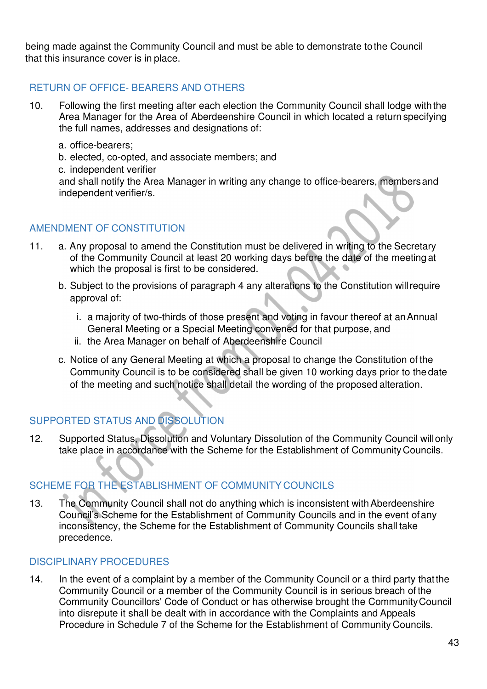being made against the Community Council and must be able to demonstrate to the Council that this insurance cover is in place.

# RETURN OF OFFICE- BEARERS AND OTHERS

- 10. Following the first meeting after each election the Community Council shall lodge with the Area Manager for the Area of Aberdeenshire Council in which located a return specifying the full names, addresses and designations of:
	- a. office-bearers;
	- b. elected, co-opted, and associate members; and
	- c. independent verifier

and shall notify the Area Manager in writing any change to office-bearers, members and independent verifier/s.

### AMENDMENT OF CONSTITUTION

- 11. a. Any proposal to amend the Constitution must be delivered in writing to the Secretary of the Community Council at least 20 working days before the date of the meeting at which the proposal is first to be considered.
	- b. Subject to the provisions of paragraph 4 any alterations to the Constitution will require approval of:
		- i. a majority of two-thirds of those present and voting in favour thereof at an Annual General Meeting or a Special Meeting convened for that purpose, and
		- ii. the Area Manager on behalf of Aberdeenshire Council
	- c. Notice of any General Meeting at which a proposal to change the Constitution of the Community Council is to be considered shall be given 10 working days prior to the date of the meeting and such notice shall detail the wording of the proposed alteration.

# SUPPORTED STATUS AND DISSOLUTION

12. Supported Status, Dissolution and Voluntary Dissolution of the Community Council will only take place in accordance with the Scheme for the Establishment of Community Councils.

# SCHEME FOR THE ESTABLISHMENT OF COMMUNITY COUNCILS

13. The Community Council shall not do anything which is inconsistent with Aberdeenshire Council's Scheme for the Establishment of Community Councils and in the event of any inconsistency, the Scheme for the Establishment of Community Councils shall take precedence.

### DISCIPLINARY PROCEDURES

14. In the event of a complaint by a member of the Community Council or a third party that the Community Council or a member of the Community Council is in serious breach of the Community Councillors' Code of Conduct or has otherwise brought the Community Council into disrepute it shall be dealt with in accordance with the Complaints and Appeals Procedure in Schedule 7 of the Scheme for the Establishment of Community Councils.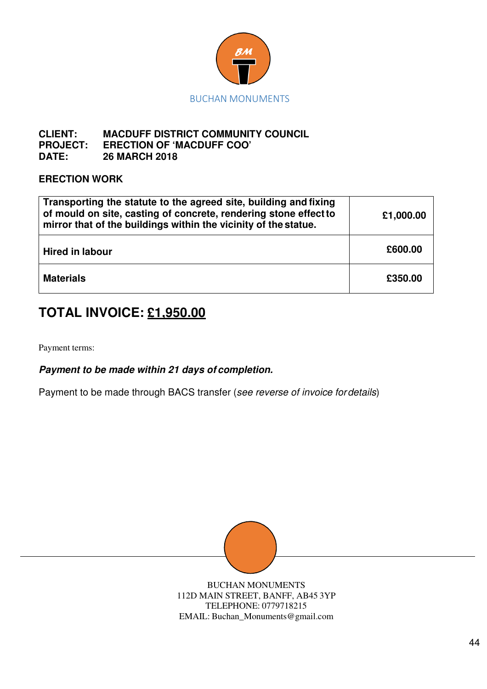

#### **CLIENT: MACDUFF DISTRICT COMMUNITY COUNCIL PROJECT: ERECTION OF 'MACDUFF COO' DATE: 26 MARCH 2018**

### **ERECTION WORK**

| Transporting the statute to the agreed site, building and fixing<br>of mould on site, casting of concrete, rendering stone effect to<br>mirror that of the buildings within the vicinity of the statue. | £1,000.00 |
|---------------------------------------------------------------------------------------------------------------------------------------------------------------------------------------------------------|-----------|
| <b>Hired in labour</b>                                                                                                                                                                                  | £600.00   |
| <b>Materials</b>                                                                                                                                                                                        | £350.00   |

# **TOTAL INVOICE: £1,950.00**

Payment terms:

**Payment to be made within 21 days of completion.**

Payment to be made through BACS transfer (see reverse of invoice for details)



BUCHAN MONUMENTS 112D MAIN STREET, BANFF, AB45 3YP TELEPHONE: 0779718215 EMAIL: Buchan\_Monuments@gmail.com